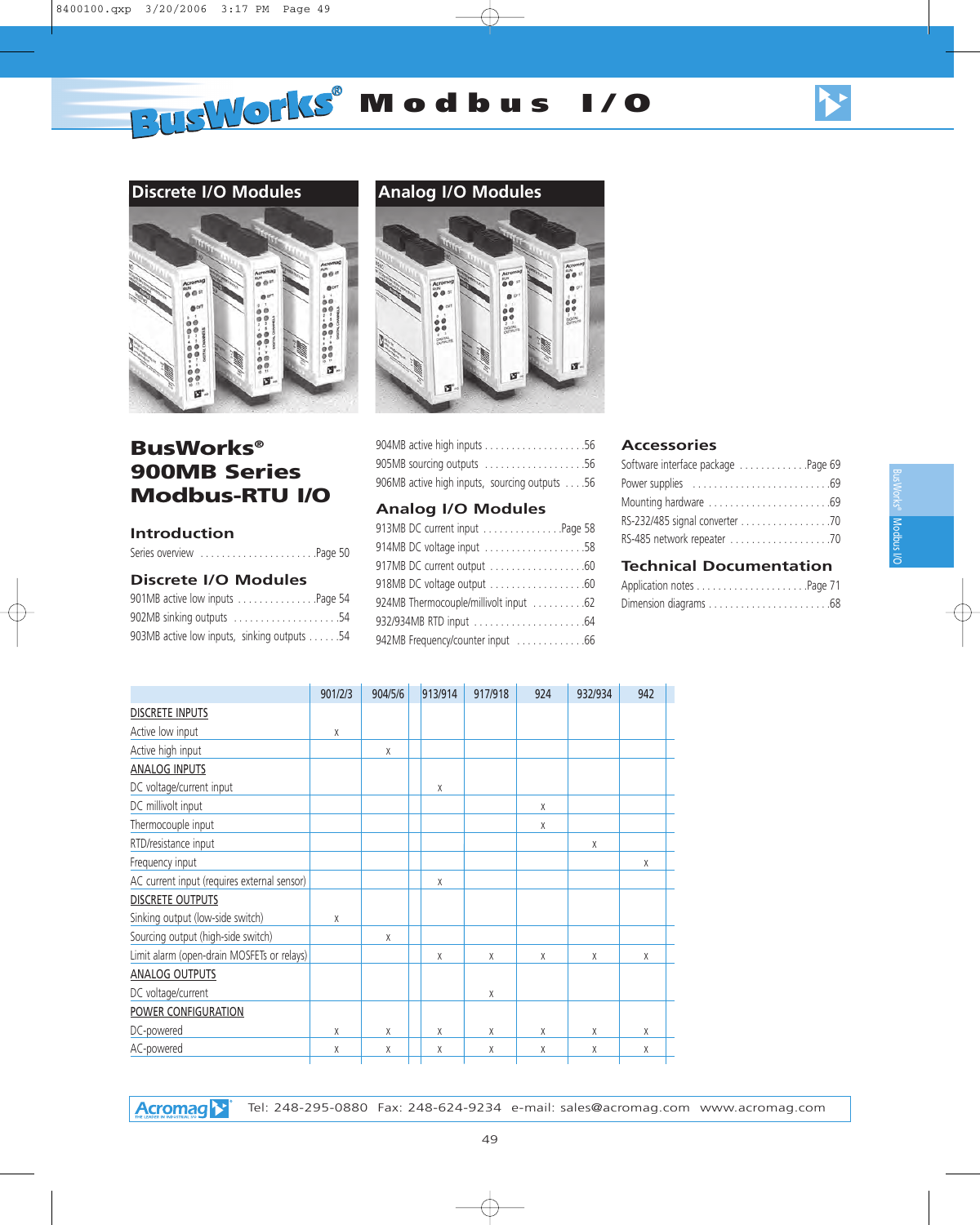# **BUSWORKS®** Modbus I/O







# **BusWorks® 900MB Series Modbus-RTU I/O**

#### **Introduction**

| Series overview Page 50 |  |  |  |  |  |  |  |  |  |  |  |
|-------------------------|--|--|--|--|--|--|--|--|--|--|--|
|                         |  |  |  |  |  |  |  |  |  |  |  |

#### **Discrete I/O Modules**

| 901MB active low inputs Page 54             |
|---------------------------------------------|
| 902MB sinking outputs 54                    |
| 903MB active low inputs, sinking outputs 54 |



| 905MB sourcing outputs 56                     |  |  |
|-----------------------------------------------|--|--|
| 906MB active high inputs, sourcing outputs 56 |  |  |

#### **Analog I/O Modules**

| 913MB DC current input Page 58        |  |
|---------------------------------------|--|
| 914MB DC voltage input 58             |  |
| 917MB DC current output 60            |  |
| 918MB DC voltage output 60            |  |
| 924MB Thermocouple/millivolt input 62 |  |
| 932/934MB RTD input 64                |  |
| 942MB Frequency/counter input 66      |  |
|                                       |  |

#### **Accessories**

| Software interface package Page 69 |  |
|------------------------------------|--|
|                                    |  |
|                                    |  |
| RS-232/485 signal converter 70     |  |
|                                    |  |
|                                    |  |

#### **Technical Documentation**

|                                             | 901/2/3 | 904/5/6 | 913/914 | 917/918 | 924 | 932/934 | 942 |  |
|---------------------------------------------|---------|---------|---------|---------|-----|---------|-----|--|
| <b>DISCRETE INPUTS</b>                      |         |         |         |         |     |         |     |  |
| Active low input                            | X       |         |         |         |     |         |     |  |
| Active high input                           |         | X       |         |         |     |         |     |  |
| <b>ANALOG INPUTS</b>                        |         |         |         |         |     |         |     |  |
| DC voltage/current input                    |         |         | X       |         |     |         |     |  |
| DC millivolt input                          |         |         |         |         | X   |         |     |  |
| Thermocouple input                          |         |         |         |         | X   |         |     |  |
| RTD/resistance input                        |         |         |         |         |     | X       |     |  |
| Frequency input                             |         |         |         |         |     |         | X   |  |
| AC current input (requires external sensor) |         |         | X       |         |     |         |     |  |
| <b>DISCRETE OUTPUTS</b>                     |         |         |         |         |     |         |     |  |
| Sinking output (low-side switch)            | X       |         |         |         |     |         |     |  |
| Sourcing output (high-side switch)          |         | X       |         |         |     |         |     |  |
| Limit alarm (open-drain MOSFETs or relays)  |         |         | X       | X       | X   | X       | X   |  |
| <b>ANALOG OUTPUTS</b>                       |         |         |         |         |     |         |     |  |
| DC voltage/current                          |         |         |         | X       |     |         |     |  |
| POWER CONFIGURATION                         |         |         |         |         |     |         |     |  |
| DC-powered                                  | X       | X       | X       | X       | X   | X       | X   |  |
| AC-powered                                  | Χ       | Χ       | Χ       | Χ       | Χ   | χ       | χ   |  |
|                                             |         |         |         |         |     |         |     |  |

**Acromage** Tel: 248-295-0880 Fax: 248-624-9234 e-mail: sales@acromag.com www.acromag.com Modbus BusWorks® Modpas NO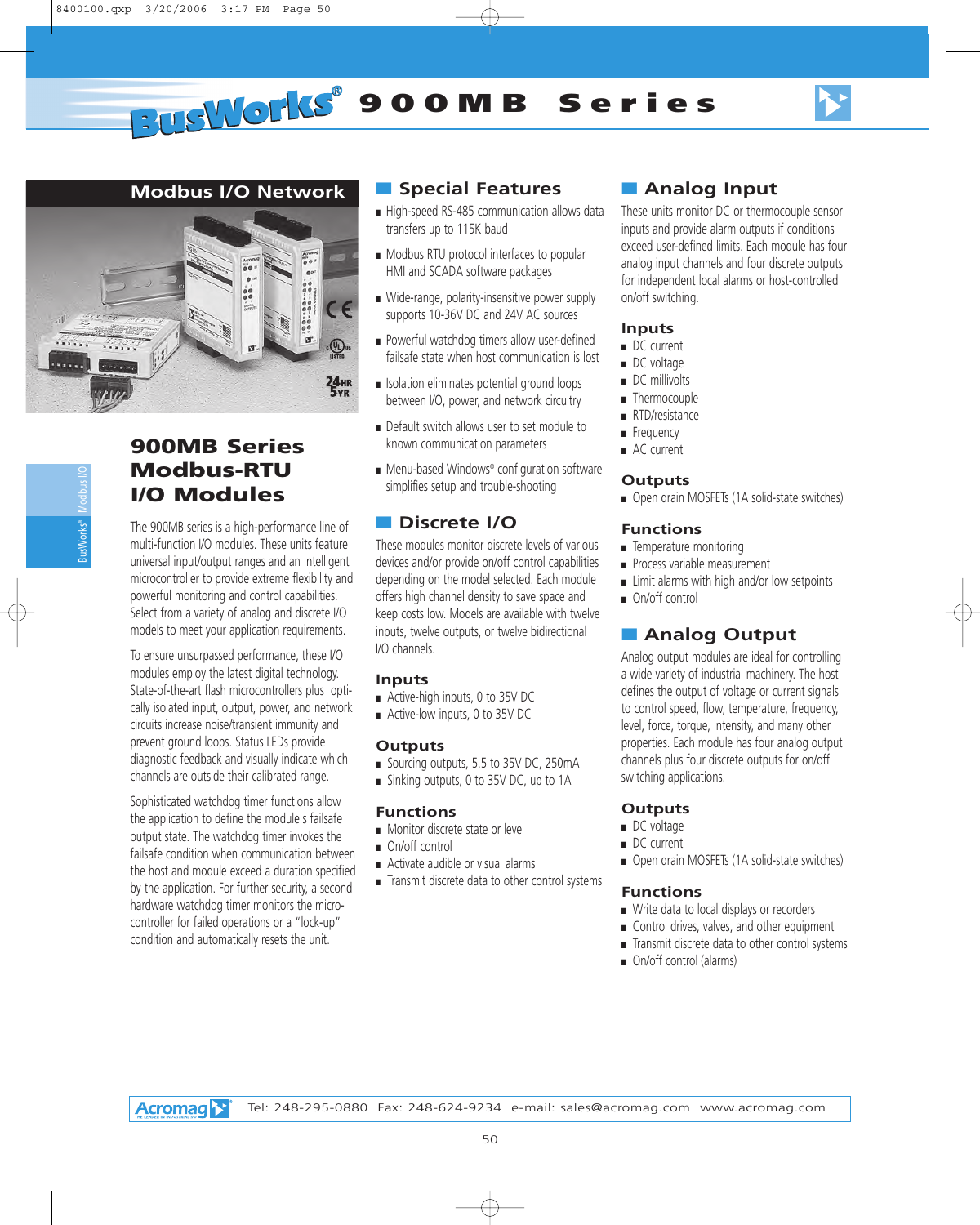

# **Modbus I/O Network**



# **900MB Series Modbus-RTU I/O Modules**

The 900MB series is a high-performance line of multi-function I/O modules. These units feature universal input/output ranges and an intelligent microcontroller to provide extreme flexibility and powerful monitoring and control capabilities. Select from a variety of analog and discrete I/O models to meet your application requirements.

To ensure unsurpassed performance, these I/O modules employ the latest digital technology. State-of-the-art flash microcontrollers plus optically isolated input, output, power, and network circuits increase noise/transient immunity and prevent ground loops. Status LEDs provide diagnostic feedback and visually indicate which channels are outside their calibrated range.

Sophisticated watchdog timer functions allow the application to define the module's failsafe output state. The watchdog timer invokes the failsafe condition when communication between the host and module exceed a duration specified by the application. For further security, a second hardware watchdog timer monitors the microcontroller for failed operations or a "lock-up" condition and automatically resets the unit.

# ■ **Special Features**

- High-speed RS-485 communication allows data transfers up to 115K baud
- Modbus RTU protocol interfaces to popular HMI and SCADA software packages
- Wide-range, polarity-insensitive power supply supports 10-36V DC and 24V AC sources
- Powerful watchdog timers allow user-defined failsafe state when host communication is lost
- Isolation eliminates potential ground loops between I/O, power, and network circuitry
- Default switch allows user to set module to known communication parameters
- Menu-based Windows® configuration software simplifies setup and trouble-shooting

# ■ **Discrete I/O**

These modules monitor discrete levels of various devices and/or provide on/off control capabilities depending on the model selected. Each module offers high channel density to save space and keep costs low. Models are available with twelve inputs, twelve outputs, or twelve bidirectional I/O channels.

#### **Inputs**

- Active-high inputs, 0 to 35V DC
- Active-low inputs, 0 to 35V DC

#### **Outputs**

- Sourcing outputs, 5.5 to 35V DC, 250mA
- Sinking outputs, 0 to 35V DC, up to 1A

#### **Functions**

- Monitor discrete state or level
- On/off control
- Activate audible or visual alarms
- Transmit discrete data to other control systems

# ■ **Analog Input**

These units monitor DC or thermocouple sensor inputs and provide alarm outputs if conditions exceed user-defined limits. Each module has four analog input channels and four discrete outputs for independent local alarms or host-controlled on/off switching.

# **Inputs**

- DC current
- DC voltage
- DC millivolts
- Thermocouple
- RTD/resistance
- Frequency
- AC current

## **Outputs**

■ Open drain MOSFETs (1A solid-state switches)

## **Functions**

- Temperature monitoring
- Process variable measurement
- Limit alarms with high and/or low setpoints
- On/off control

# ■ **Analog Output**

Analog output modules are ideal for controlling a wide variety of industrial machinery. The host defines the output of voltage or current signals to control speed, flow, temperature, frequency, level, force, torque, intensity, and many other properties. Each module has four analog output channels plus four discrete outputs for on/off switching applications.

## **Outputs**

- DC voltage
- DC current
- Open drain MOSFETs (1A solid-state switches)

#### **Functions**

- Write data to local displays or recorders
- Control drives, valves, and other equipment
- Transmit discrete data to other control systems
- On/off control (alarms)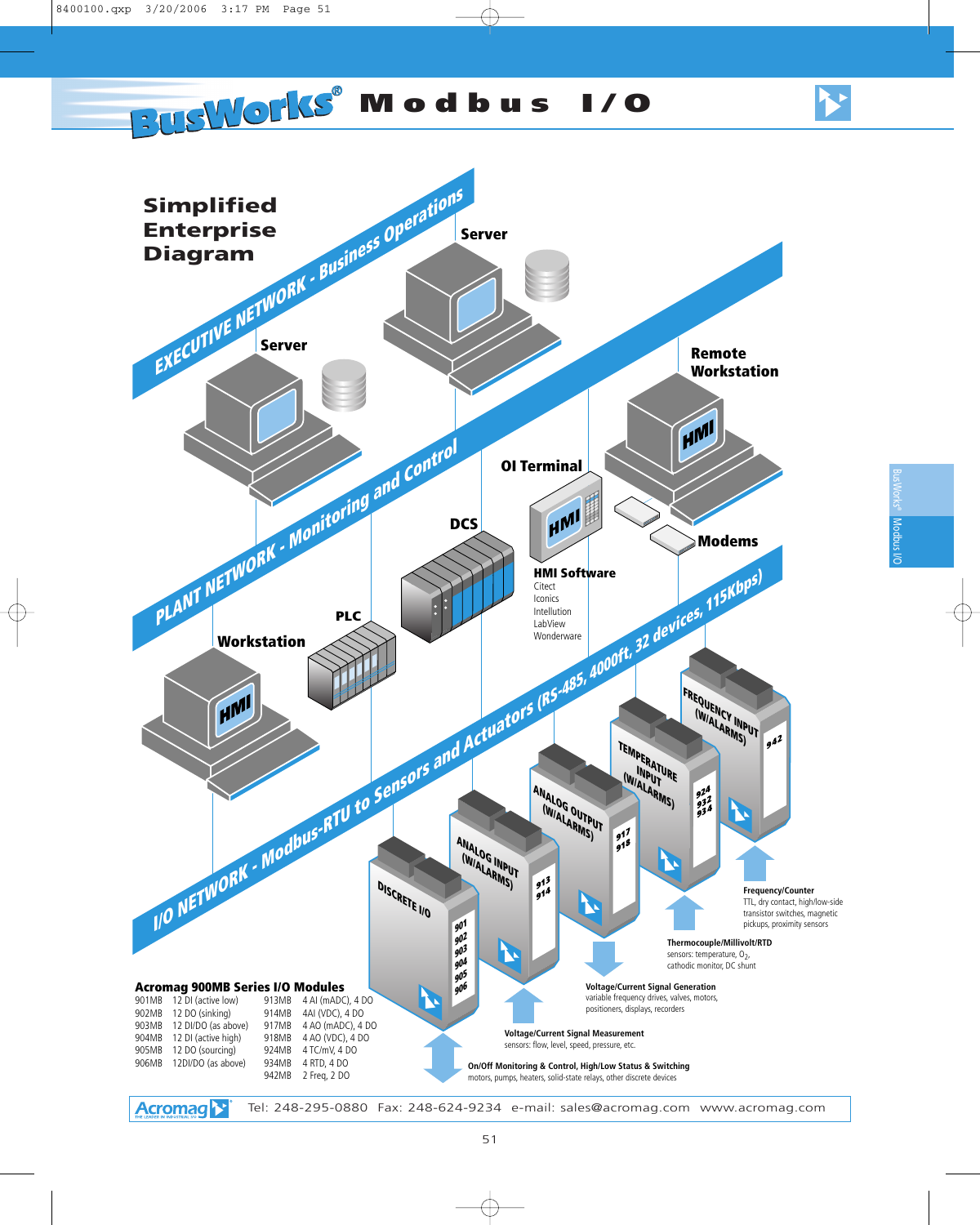# **BUSWORKS®** Modbus I/O

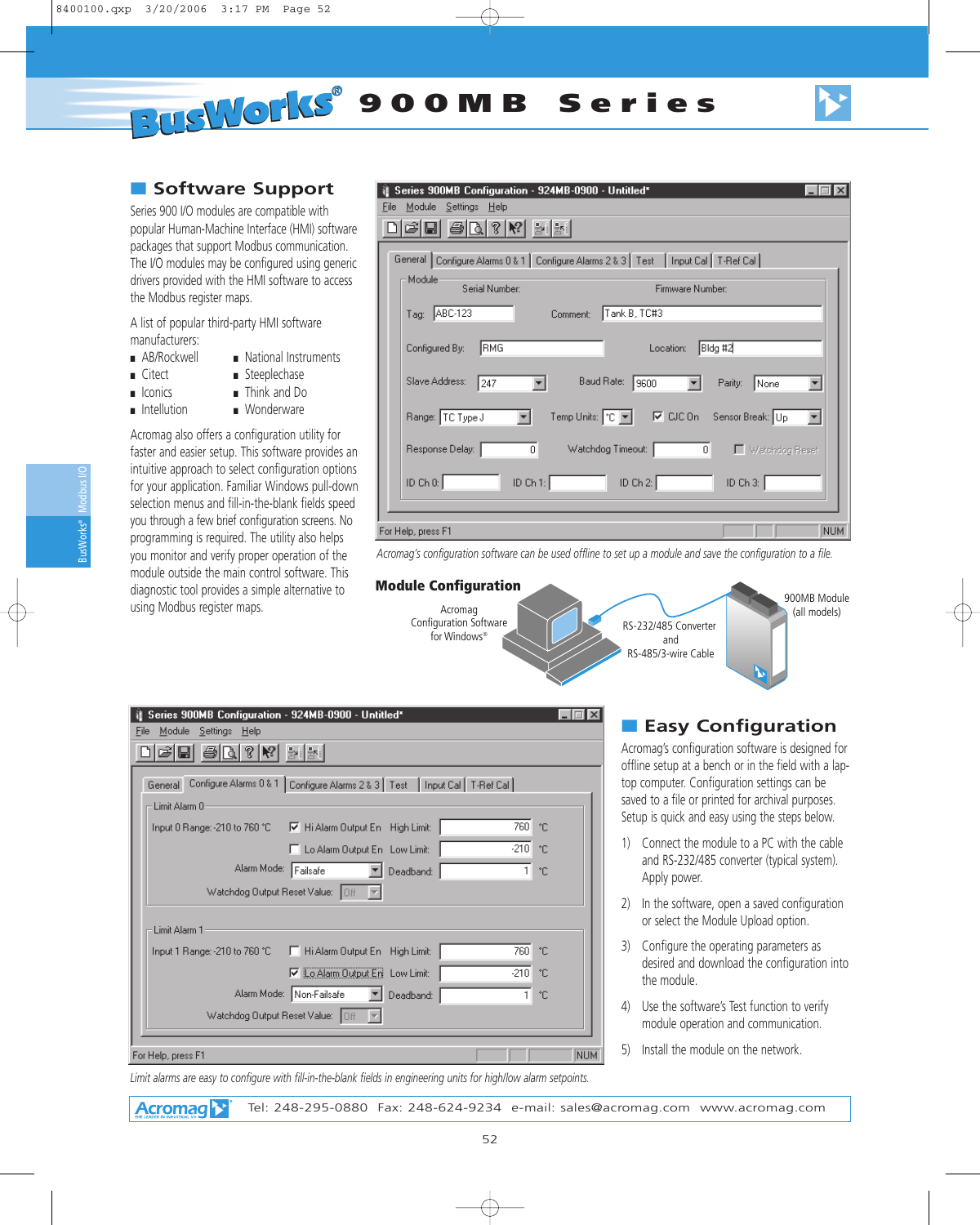**PUSWORKS** 900MB Series

# ■ Software Support

Series 900 I/O modules are compatible with popular Human-Machine Interface (HMI) software packages that support Modbus communication. The I/O modules may be configured using generic drivers provided with the HMI software to access the Modbus register maps.

A list of popular third-party HMI software manufacturers:

- AB/Rockwell National Instruments
- Citect Steeplechase
- Iconics Think and Do
- Intellution Wonderware

Acromag also offers a configuration utility for faster and easier setup. This software provides an intuitive approach to select configuration options for your application. Familiar Windows pull-down selection menus and fill-in-the-blank fields speed you through a few brief configuration screens. No programming is required. The utility also helps you monitor and verify proper operation of the module outside the main control software. This diagnostic tool provides a simple alternative to using Modbus register maps.

| Series 900MB Configuration - 924MB-0900 - Untitled*<br>Module Settings Help<br>File<br>$\bigcirc$ $\bigcirc$ $\bigcirc$ $\bigcirc$<br>화화 |
|------------------------------------------------------------------------------------------------------------------------------------------|
| General Configure Alarms 0 & 1   Configure Alarms 2 & 3   Test   Input Cal   T-Ref Cal                                                   |
| Module<br>Serial Number:<br>Firmware Number:                                                                                             |
| Tank B, TC#3<br>Tag: ABC-123<br>Comment:                                                                                                 |
| Bidg #2 <br> RMG<br>Configured By:<br>Location:                                                                                          |
| Slave Address:<br>Baud Rate: 9600<br>247<br>None<br>Parity:                                                                              |
| Range: TC Type J<br>Temp Units: $\boxed{\mathbb{C} \times}$<br>D CJC On Sensor Break: Up<br>▾                                            |
| Response Delay:  <br>Watchdog Timeout:<br>$\overline{0}$<br>$\,0$<br>□ Watchdog Reset                                                    |
| ID Ch $0:$<br>ID Ch 1:<br>ID Ch $2:$<br>ID Ch 3:                                                                                         |
| NUM<br>For Help, press F1                                                                                                                |

*Acromag's configuration software can be used offline to set up a module and save the configuration to a file.*



| Series 900MB Configuration - 924MB-0900 - Untitled <sup>*</sup>                             |            |
|---------------------------------------------------------------------------------------------|------------|
| Module<br><u>Settings Help</u><br>File                                                      |            |
| $\mathcal{G}$   Ks<br>화                                                                     |            |
| Configure Alarms 0 & 1   Configure Alarms 2 & 3   Test   Input Cal   T-Ref Cal  <br>General |            |
| Limit Alarm 0                                                                               |            |
| 760<br>ÎГ<br>M Hi Alarm Output En High Limit:<br>Input 0 Range: -210 to 760 °C.             |            |
| $-210$<br>ÎГ<br>Lo Alarm Output En Low Limit:                                               |            |
| Alarm Mode:<br>Failsafe<br>Deadband:<br>1.<br>°C.                                           |            |
| Watchdog Output Reset Value:<br>loff                                                        |            |
| Limit Alarm 1                                                                               |            |
| 760<br>°C<br>F Hi Alarm Output En High Limit:<br>Input 1 Range: -210 to 760 °C              |            |
| <b>▽</b> Lo Alarm Output En Low Limit:<br>$-210$<br>ÎС                                      |            |
| Alarm Mode: Non-Failsafe<br>Deadband:<br>°C<br>1.                                           |            |
| Watchdog Output Reset Value: 0ff                                                            |            |
| For Help, press F1                                                                          | <b>NUM</b> |

# ■ **Easy Configuration**

Acromag's configuration software is designed for offline setup at a bench or in the field with a laptop computer. Configuration settings can be saved to a file or printed for archival purposes. Setup is quick and easy using the steps below.

- 1) Connect the module to a PC with the cable and RS-232/485 converter (typical system). Apply power.
- 2) In the software, open a saved configuration or select the Module Upload option.
- 3) Configure the operating parameters as desired and download the configuration into the module.
- 4) Use the software's Test function to verify module operation and communication.
- 5) Install the module on the network.

*Limit alarms are easy to configure with fill-in-the-blank fields in engineering units for high/low alarm setpoints.*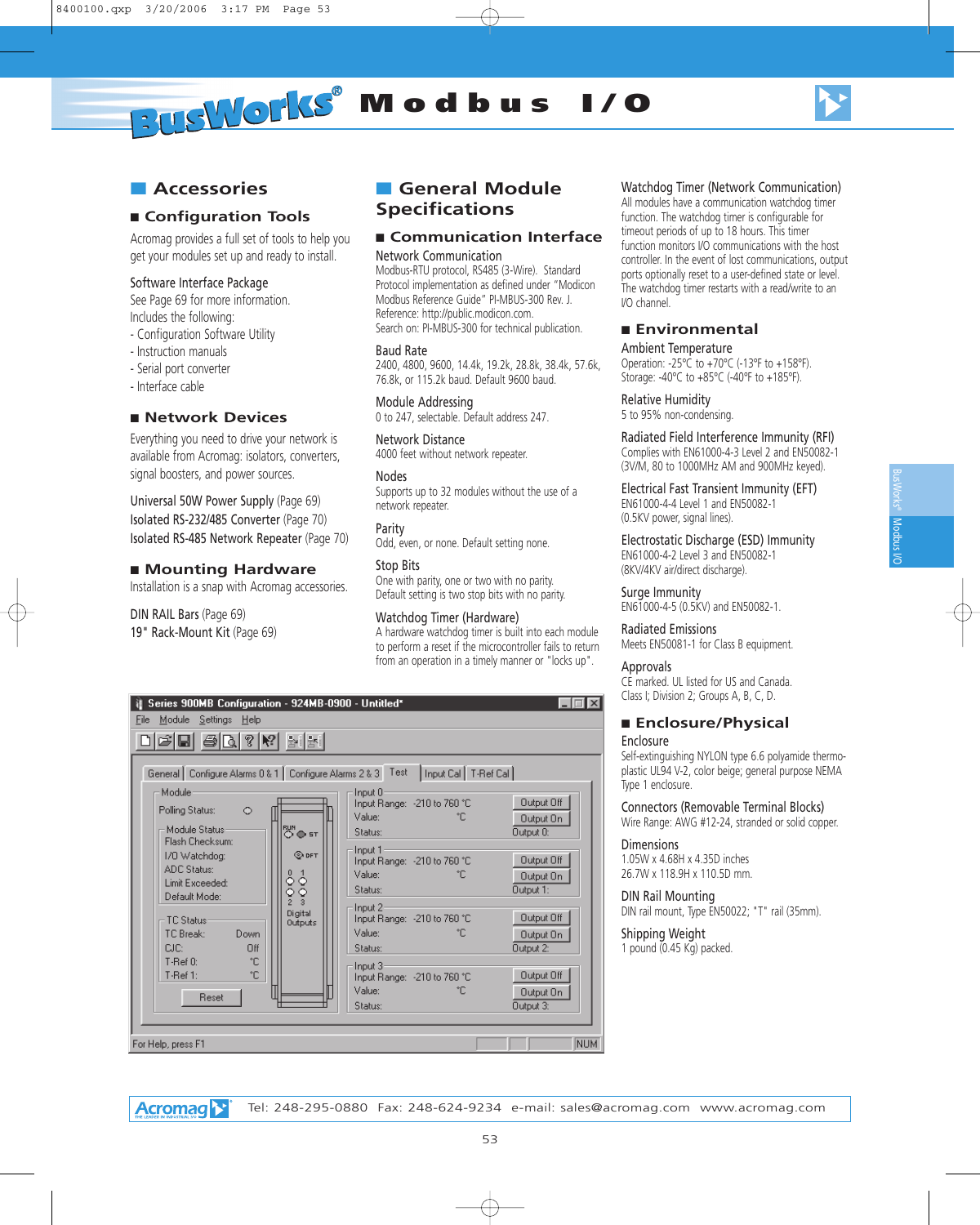**RUSWORKS®** Modbus I/O



# ■ **Accessories**

# ■ **Configuration Tools**

Acromag provides a full set of tools to help you get your modules set up and ready to install.

#### Software Interface Package

See Page 69 for more information. Includes the following:

- Configuration Software Utility
- Instruction manuals
- Serial port converter
- Interface cable

#### ■ **Network Devices**

Everything you need to drive your network is available from Acromag: isolators, converters, signal boosters, and power sources.

Universal 50W Power Supply (Page 69) Isolated RS-232/485 Converter (Page 70) Isolated RS-485 Network Repeater (Page 70)

#### ■ **Mounting Hardware**

Installation is a snap with Acromag accessories.

#### DIN RAIL Bars (Page 69)

19" Rack-Mount Kit (Page 69)

# ■ **General Module Specifications**

#### ■ **Communication Interface**

#### Network Communication

Modbus-RTU protocol, RS485 (3-Wire). Standard Protocol implementation as defined under "Modicon Modbus Reference Guide" PI-MBUS-300 Rev. J. Reference: http://public.modicon.com. Search on: PI-MBUS-300 for technical publication.

#### Baud Rate

2400, 4800, 9600, 14.4k, 19.2k, 28.8k, 38.4k, 57.6k, 76.8k, or 115.2k baud. Default 9600 baud.

#### Module Addressing

0 to 247, selectable. Default address 247.

Network Distance 4000 feet without network repeater.

#### Nodes

Supports up to 32 modules without the use of a network repeater.

Parity

Odd, even, or none. Default setting none.

#### Stop Bits

One with parity, one or two with no parity. Default setting is two stop bits with no parity.

#### Watchdog Timer (Hardware)

A hardware watchdog timer is built into each module to perform a reset if the microcontroller fails to return from an operation in a timely manner or "locks up".

| Series 900MB Configuration - 924MB-0900 - Untitled*<br>Module Settings Help<br>File                         |                                                                                                           |                                      |
|-------------------------------------------------------------------------------------------------------------|-----------------------------------------------------------------------------------------------------------|--------------------------------------|
| $\lceil 3 \rceil$<br>R <sup>2</sup><br>ê<br>⊟<br>General Configure Alarms 0 & 1 Configure Alarms 2 & 3 Test | 화대화<br>Input Cal   T-Ref Cal                                                                              |                                      |
| Module:<br>Polling Status:<br>$\circ$<br>Module Status-<br>Flash Checksum:                                  | Input 0<br>Input Range: -210 to 760 °C<br>Value:<br>۴C<br>RUN<br>O⊜st<br>Status:                          | Output Off<br>Output On<br>Output 0: |
| 1/0 Watchdog:<br><b>ADC Status:</b><br>ွိ<br>Limit Exceeded:<br>Default Mode:                               | Input 1<br>O DFT<br>Input Range: -210 to 760 °C<br>Value:<br>۰C<br>$\vec{\diamond}$<br>Status:<br>$\circ$ | Output Off<br>Output On<br>Output 1: |
| TC Status-<br>Down<br>TC Break:<br>CIC:<br>Πff                                                              | Input 2<br>Digital<br>Input Range: -210 to 760 °C<br>Outputs<br>Value:<br>°Г.<br>Status:                  | Output Off<br>Output On<br>Output 2: |
| °C<br>$T-Ref 0:$<br>°C<br>$T-Ref 1:$<br>Reset                                                               | Input 3<br>Input Range: -210 to 760 °C<br>Value:<br>۰C<br>Status:                                         | Output Off<br>Output On<br>Output 3: |
| For Help, press F1                                                                                          |                                                                                                           | NUM.                                 |

#### Watchdog Timer (Network Communication)

All modules have a communication watchdog timer function. The watchdog timer is configurable for timeout periods of up to 18 hours. This timer function monitors I/O communications with the host controller. In the event of lost communications, output ports optionally reset to a user-defined state or level. The watchdog timer restarts with a read/write to an I/O channel.

#### ■ **Environmental**

Ambient Temperature Operation: -25°C to +70°C (-13°F to +158°F). Storage: -40°C to +85°C (-40°F to +185°F).

#### Relative Humidity

5 to 95% non-condensing.

Radiated Field Interference Immunity (RFI) Complies with EN61000-4-3 Level 2 and EN50082-1 (3V/M, 80 to 1000MHz AM and 900MHz keyed).

Electrical Fast Transient Immunity (EFT) EN61000-4-4 Level 1 and EN50082-1 (0.5KV power, signal lines).

#### Electrostatic Discharge (ESD) Immunity EN61000-4-2 Level 3 and EN50082-1 (8KV/4KV air/direct discharge).

Surge Immunity EN61000-4-5 (0.5KV) and EN50082-1.

#### Radiated Emissions

Meets EN50081-1 for Class B equipment.

#### Approvals

CE marked. UL listed for US and Canada. Class I; Division 2; Groups A, B, C, D.

#### ■ **Enclosure/Physical**

#### Enclosure

Self-extinguishing NYLON type 6.6 polyamide thermoplastic UL94 V-2, color beige; general purpose NEMA Type 1 enclosure.

Connectors (Removable Terminal Blocks)

Wire Range: AWG #12-24, stranded or solid copper.

#### **Dimensions**

1.05W x 4.68H x 4.35D inches 26.7W x 118.9H x 110.5D mm.

DIN Rail Mounting DIN rail mount, Type EN50022; "T" rail (35mm).

#### Shipping Weight

1 pound (0.45 Kg) packed.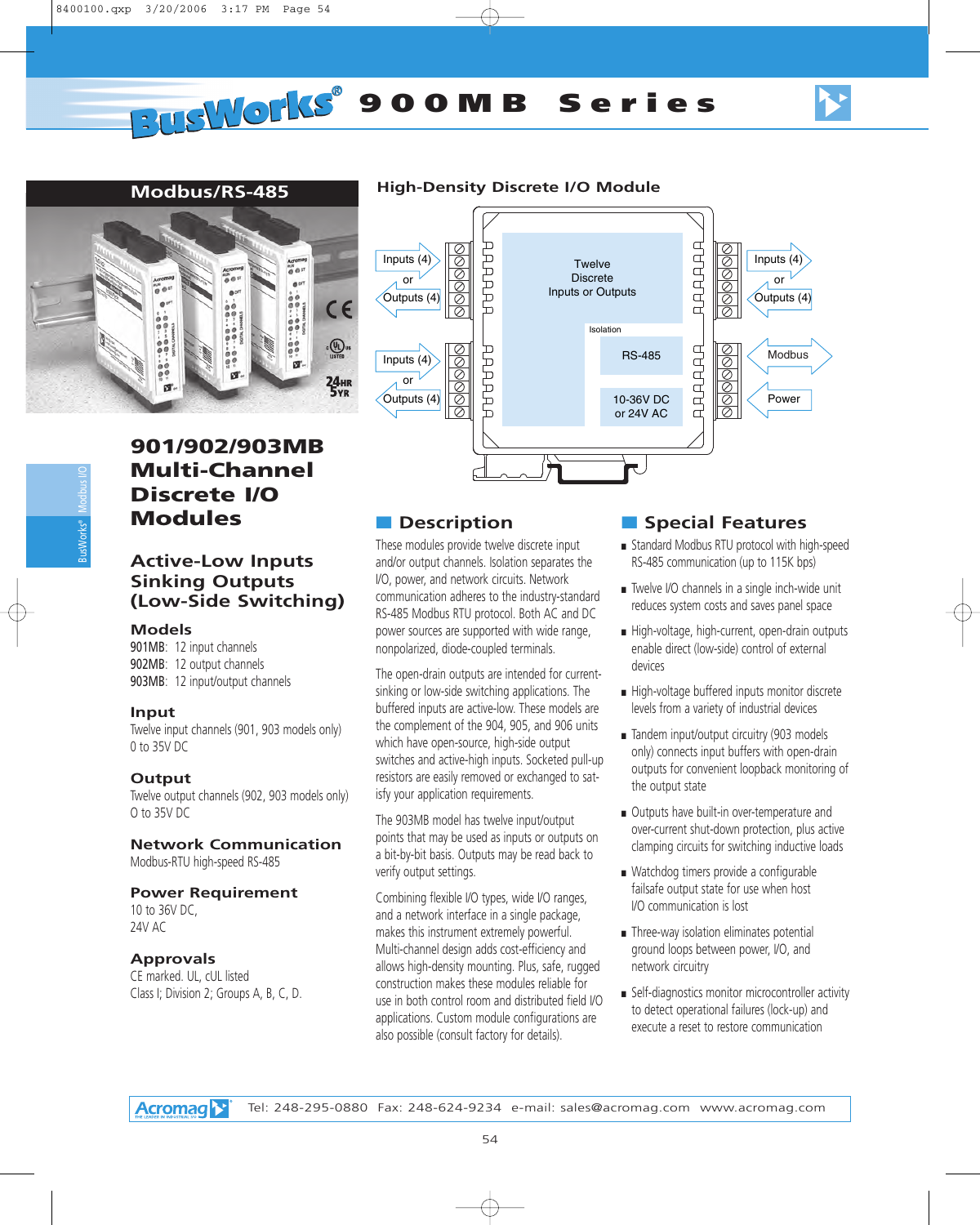

# Modbus I/O BusWorks®

# **901/902/903MB Multi-Channel Discrete I/O Modules**

# **Active-Low Inputs Sinking Outputs (Low-Side Switching)**

#### **Models**

901MB: 12 input channels 902MB: 12 output channels 903MB: 12 input/output channels

#### **Input**

Twelve input channels (901, 903 models only) 0 to 35V DC

#### **Output**

Twelve output channels (902, 903 models only) O to 35V DC

#### **Network Communication**

Modbus-RTU high-speed RS-485

#### **Power Requirement**

10 to 36V DC, 24V AC

#### **Approvals**

CE marked. UL, cUL listed Class I; Division 2; Groups A, B, C, D.

# **Modbus/RS-485 High-Density Discrete I/O Module**



# ■ **Description**

These modules provide twelve discrete input and/or output channels. Isolation separates the I/O, power, and network circuits. Network communication adheres to the industry-standard RS-485 Modbus RTU protocol. Both AC and DC power sources are supported with wide range, nonpolarized, diode-coupled terminals.

The open-drain outputs are intended for currentsinking or low-side switching applications. The buffered inputs are active-low. These models are the complement of the 904, 905, and 906 units which have open-source, high-side output switches and active-high inputs. Socketed pull-up resistors are easily removed or exchanged to satisfy your application requirements.

The 903MB model has twelve input/output points that may be used as inputs or outputs on a bit-by-bit basis. Outputs may be read back to verify output settings.

Combining flexible I/O types, wide I/O ranges, and a network interface in a single package, makes this instrument extremely powerful. Multi-channel design adds cost-efficiency and allows high-density mounting. Plus, safe, rugged construction makes these modules reliable for use in both control room and distributed field I/O applications. Custom module configurations are also possible (consult factory for details).

- Standard Modbus RTU protocol with high-speed RS-485 communication (up to 115K bps)
- Twelve I/O channels in a single inch-wide unit reduces system costs and saves panel space
- High-voltage, high-current, open-drain outputs enable direct (low-side) control of external devices
- High-voltage buffered inputs monitor discrete levels from a variety of industrial devices
- Tandem input/output circuitry (903 models only) connects input buffers with open-drain outputs for convenient loopback monitoring of the output state
- Outputs have built-in over-temperature and over-current shut-down protection, plus active clamping circuits for switching inductive loads
- Watchdog timers provide a configurable failsafe output state for use when host I/O communication is lost
- Three-way isolation eliminates potential ground loops between power, I/O, and network circuitry
- Self-diagnostics monitor microcontroller activity to detect operational failures (lock-up) and execute a reset to restore communication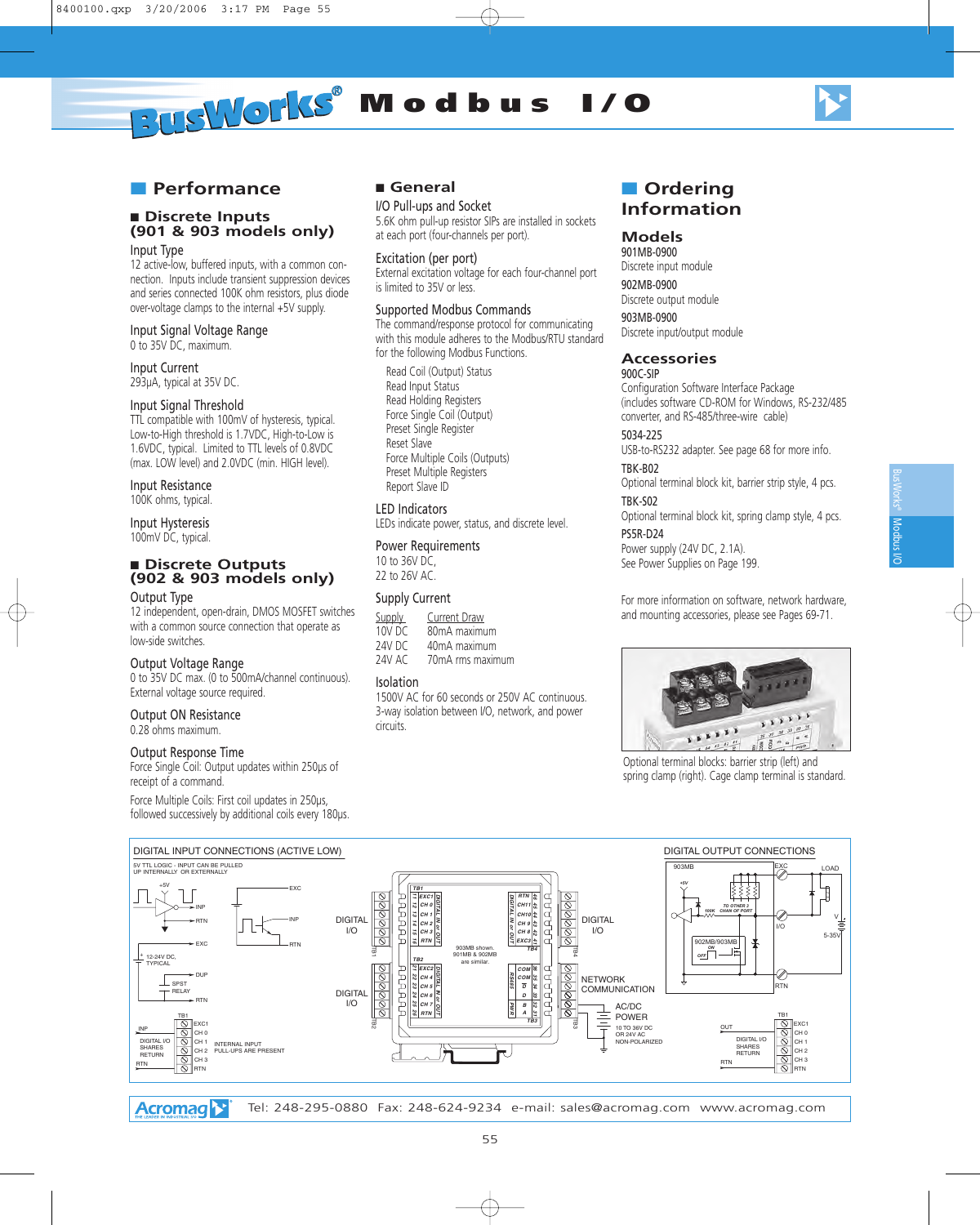

# ■ **Performance**

# ■ **Discrete Inputs (901 & 903 models only)**

Input Type

12 active-low, buffered inputs, with a common connection. Inputs include transient suppression devices and series connected 100K ohm resistors, plus diode over-voltage clamps to the internal +5V supply.

#### Input Signal Voltage Range

0 to 35V DC, maximum.

Input Current 293µA, typical at 35V DC.

#### Input Signal Threshold

TTL compatible with 100mV of hysteresis, typical. Low-to-High threshold is 1.7VDC, High-to-Low is 1.6VDC, typical. Limited to TTL levels of 0.8VDC (max. LOW level) and 2.0VDC (min. HIGH level).

#### Input Resistance

100K ohms, typical.

Input Hysteresis 100mV DC, typical.

#### ■ **Discrete Outputs (902 & 903 models only)**

#### Output Type

12 independent, open-drain, DMOS MOSFET switches with a common source connection that operate as low-side switches.

#### Output Voltage Range

0 to 35V DC max. (0 to 500mA/channel continuous). External voltage source required.

#### Output ON Resistance

0.28 ohms maximum.

#### Output Response Time

Force Single Coil: Output updates within 250µs of receipt of a command.

Force Multiple Coils: First coil updates in 250µs, followed successively by additional coils every 180µs.

#### ■ **General**

I/O Pull-ups and Socket 5.6K ohm pull-up resistor SIPs are installed in sockets at each port (four-channels per port).

#### Excitation (per port)

External excitation voltage for each four-channel port is limited to 35V or less.

#### Supported Modbus Commands

The command/response protocol for communicating with this module adheres to the Modbus/RTU standard for the following Modbus Functions.

Read Coil (Output) Status Read Input Status Read Holding Registers Force Single Coil (Output) Preset Single Register Reset Slave Force Multiple Coils (Outputs) Preset Multiple Registers Report Slave ID

#### LED Indicators

LEDs indicate power, status, and discrete level.

#### Power Requirements

10 to 36V DC, 22 to 26V AC.

#### Supply Current

| Supply | Current Draw     |
|--------|------------------|
| 10V DC | 80mA maximum     |
| 24V DC | 40mA maximum     |
| 24V AC | 70mA rms maximum |

#### Isolation

1500V AC for 60 seconds or 250V AC continuous. 3-way isolation between I/O, network, and power circuits.

# ■ **Ordering Information**

#### **Models**

901MB-0900 Discrete input module

902MB-0900 Discrete output module

903MB-0900 Discrete input/output module

#### **Accessories**

#### 900C-SIP

Configuration Software Interface Package (includes software CD-ROM for Windows, RS-232/485 converter, and RS-485/three-wire cable)

#### 5034-225

USB-to-RS232 adapter. See page 68 for more info. TBK-B02

Optional terminal block kit, barrier strip style, 4 pcs.

# TBK-S02

Optional terminal block kit, spring clamp style, 4 pcs. PS5R-D24

Power supply (24V DC, 2.1A). See Power Supplies on Page 199.

For more information on software, network hardware, and mounting accessories, please see Pages 69-71.



Optional terminal blocks: barrier strip (left) and spring clamp (right). Cage clamp terminal is standard.



**Acromag**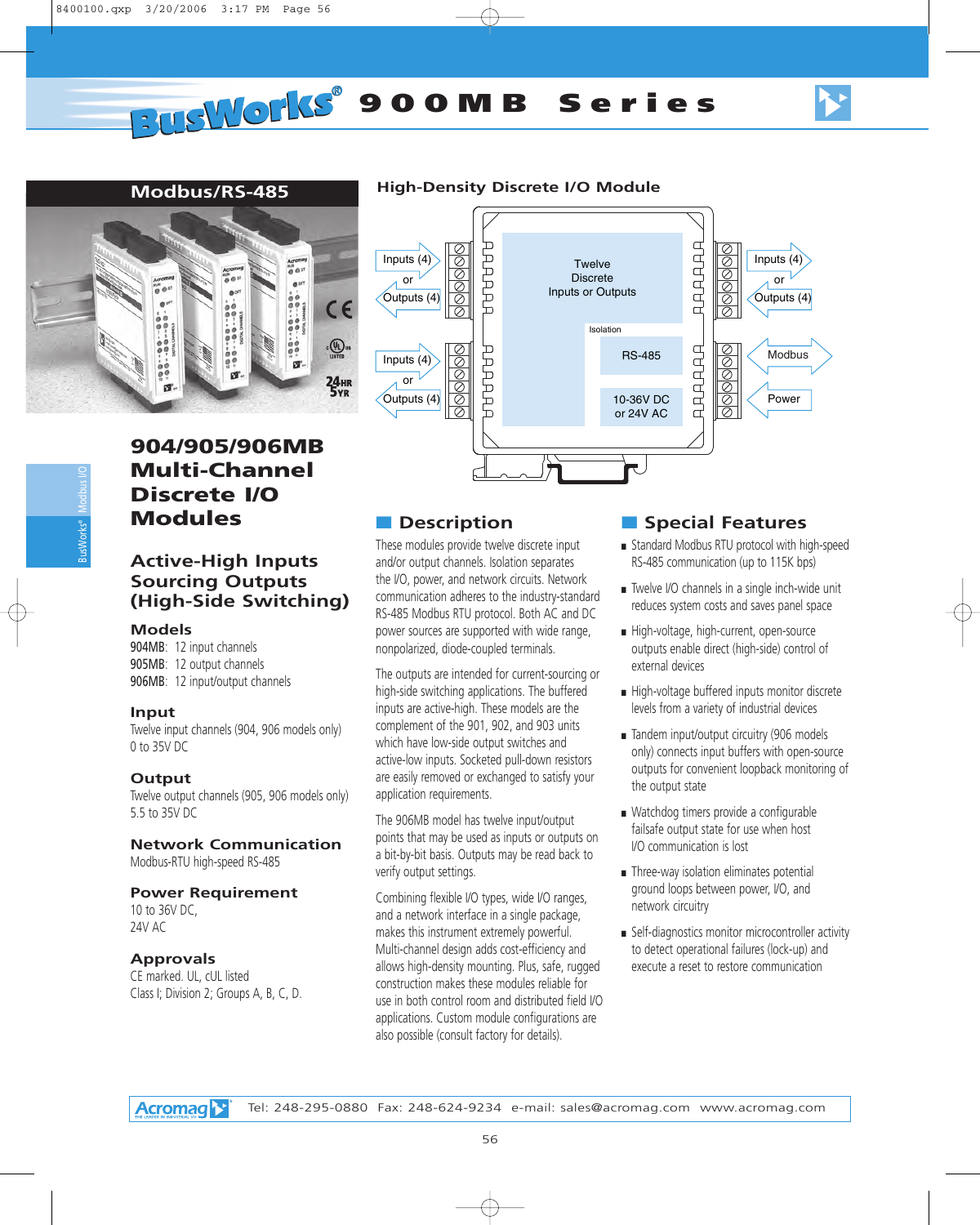

# **904/905/906MB Multi-Channel Discrete I/O Modules**

# **Active-High Inputs Sourcing Outputs (High-Side Switching)**

#### **Models**

904MB: 12 input channels 905MB: 12 output channels 906MB: 12 input/output channels

#### **Input**

Twelve input channels (904, 906 models only) 0 to 35V DC

#### **Output**

Twelve output channels (905, 906 models only) 5.5 to 35V DC

#### **Network Communication**

Modbus-RTU high-speed RS-485

#### **Power Requirement**

10 to 36V DC, 24V AC

#### **Approvals**

CE marked. UL, cUL listed Class I; Division 2; Groups A, B, C, D.

# **Modbus/RS-485 High-Density Discrete I/O Module**



# ■ **Description**

These modules provide twelve discrete input and/or output channels. Isolation separates the I/O, power, and network circuits. Network communication adheres to the industry-standard RS-485 Modbus RTU protocol. Both AC and DC power sources are supported with wide range, nonpolarized, diode-coupled terminals.

The outputs are intended for current-sourcing or high-side switching applications. The buffered inputs are active-high. These models are the complement of the 901, 902, and 903 units which have low-side output switches and active-low inputs. Socketed pull-down resistors are easily removed or exchanged to satisfy your application requirements.

The 906MB model has twelve input/output points that may be used as inputs or outputs on a bit-by-bit basis. Outputs may be read back to verify output settings.

Combining flexible I/O types, wide I/O ranges, and a network interface in a single package, makes this instrument extremely powerful. Multi-channel design adds cost-efficiency and allows high-density mounting. Plus, safe, rugged construction makes these modules reliable for use in both control room and distributed field I/O applications. Custom module configurations are also possible (consult factory for details).

- Standard Modbus RTU protocol with high-speed RS-485 communication (up to 115K bps)
- Twelve I/O channels in a single inch-wide unit reduces system costs and saves panel space
- High-voltage, high-current, open-source outputs enable direct (high-side) control of external devices
- High-voltage buffered inputs monitor discrete levels from a variety of industrial devices
- Tandem input/output circuitry (906 models only) connects input buffers with open-source outputs for convenient loopback monitoring of the output state
- Watchdog timers provide a configurable failsafe output state for use when host I/O communication is lost
- Three-way isolation eliminates potential ground loops between power, I/O, and network circuitry
- Self-diagnostics monitor microcontroller activity to detect operational failures (lock-up) and execute a reset to restore communication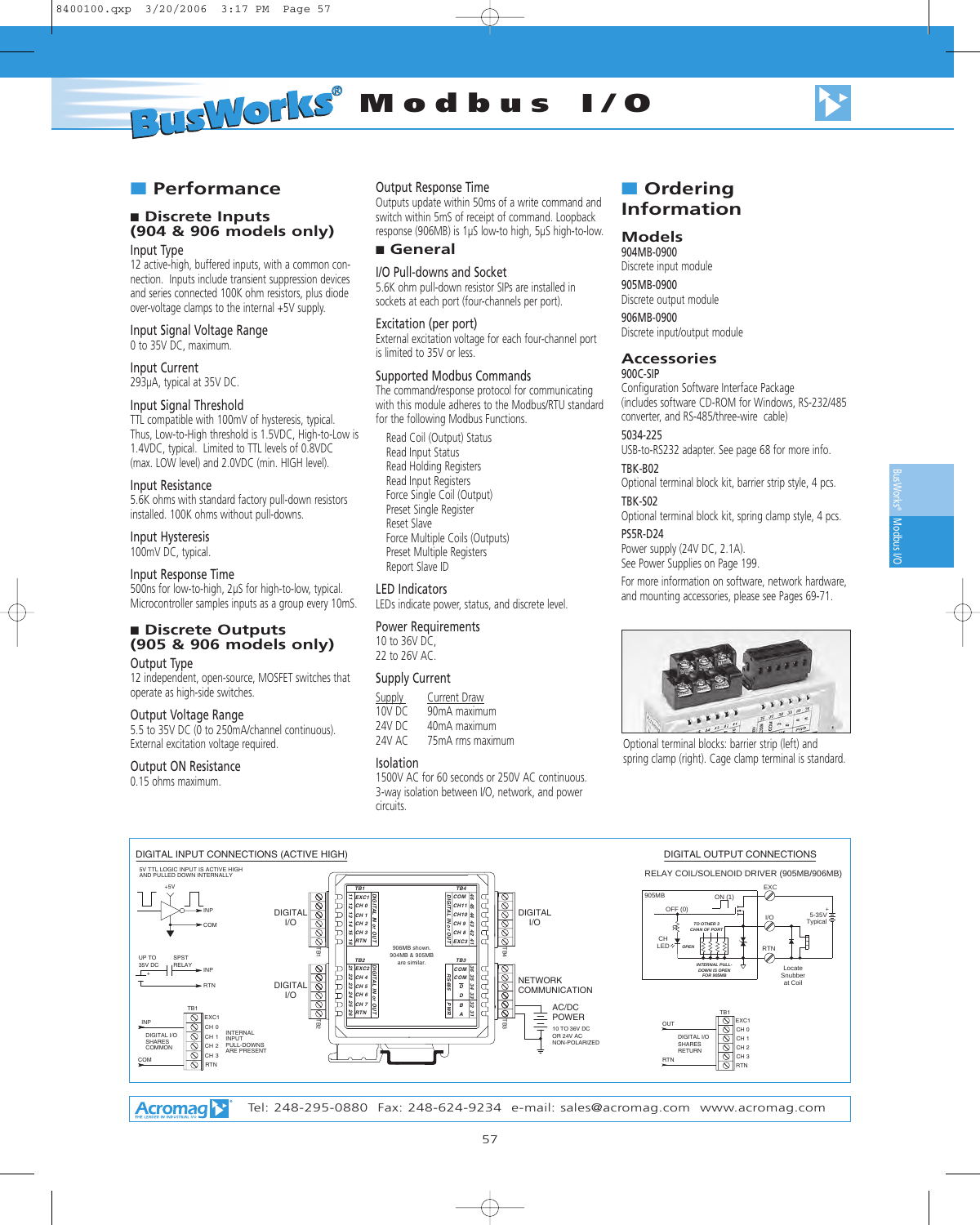

Modbus BusWorks® Modpas NO

# ■ **Performance**

# ■ **Discrete Inputs (904 & 906 models only)**

Input Type

12 active-high, buffered inputs, with a common connection. Inputs include transient suppression devices and series connected 100K ohm resistors, plus diode over-voltage clamps to the internal +5V supply.

## Input Signal Voltage Range

0 to 35V DC, maximum.

Input Current 293µA, typical at 35V DC.

#### Input Signal Threshold

TTL compatible with 100mV of hysteresis, typical. Thus, Low-to-High threshold is 1.5VDC, High-to-Low is 1.4VDC, typical. Limited to TTL levels of 0.8VDC (max. LOW level) and 2.0VDC (min. HIGH level).

#### Input Resistance

5.6K ohms with standard factory pull-down resistors installed. 100K ohms without pull-downs.

Input Hysteresis

100mV DC, typical.

#### Input Response Time

500ns for low-to-high, 2µS for high-to-low, typical. Microcontroller samples inputs as a group every 10mS.

#### ■ Discrete Outputs **(905 & 906 models only)**

#### Output Type

12 independent, open-source, MOSFET switches that operate as high-side switches.

#### Output Voltage Range

5.5 to 35V DC (0 to 250mA/channel continuous). External excitation voltage required.

#### Output ON Resistance

0.15 ohms maximum.

#### Output Response Time

Outputs update within 50ms of a write command and switch within 5mS of receipt of command. Loopback response (906MB) is 1µS low-to high, 5µS high-to-low.

#### ■ **General**

I/O Pull-downs and Socket

5.6K ohm pull-down resistor SIPs are installed in sockets at each port (four-channels per port).

#### Excitation (per port)

External excitation voltage for each four-channel port is limited to 35V or less.

#### Supported Modbus Commands

The command/response protocol for communicating with this module adheres to the Modbus/RTU standard for the following Modbus Functions.

Read Coil (Output) Status Read Input Status Read Holding Registers Read Input Registers Force Single Coil (Output) Preset Single Register Reset Slave Force Multiple Coils (Outputs) Preset Multiple Registers Report Slave ID

#### LED Indicators

LEDs indicate power, status, and discrete level.

#### Power Requirements

10 to 36V DC, 22 to 26V AC.

#### Supply Current

| Supply | Current Draw     |
|--------|------------------|
| 10V DC | 90mA maximum     |
| 24V DC | 40mA maximum     |
| 24V AC | 75mA rms maximum |

#### Isolation

1500V AC for 60 seconds or 250V AC continuous. 3-way isolation between I/O, network, and power circuits.

# ■ **Ordering Information**

#### **Models**

904MB-0900 Discrete input module

905MB-0900 Discrete output module

906MB-0900 Discrete input/output module

#### **Accessories**

#### 900C-SIP

Configuration Software Interface Package (includes software CD-ROM for Windows, RS-232/485 converter, and RS-485/three-wire cable)

## 5034-225

USB-to-RS232 adapter. See page 68 for more info. TBK-B02

Optional terminal block kit, barrier strip style, 4 pcs.

#### TBK-S02

Optional terminal block kit, spring clamp style, 4 pcs. PS5R-D24

Power supply (24V DC, 2.1A). See Power Supplies on Page 199.

For more information on software, network hardware, and mounting accessories, please see Pages 69-71.



Optional terminal blocks: barrier strip (left) and spring clamp (right). Cage clamp terminal is standard.

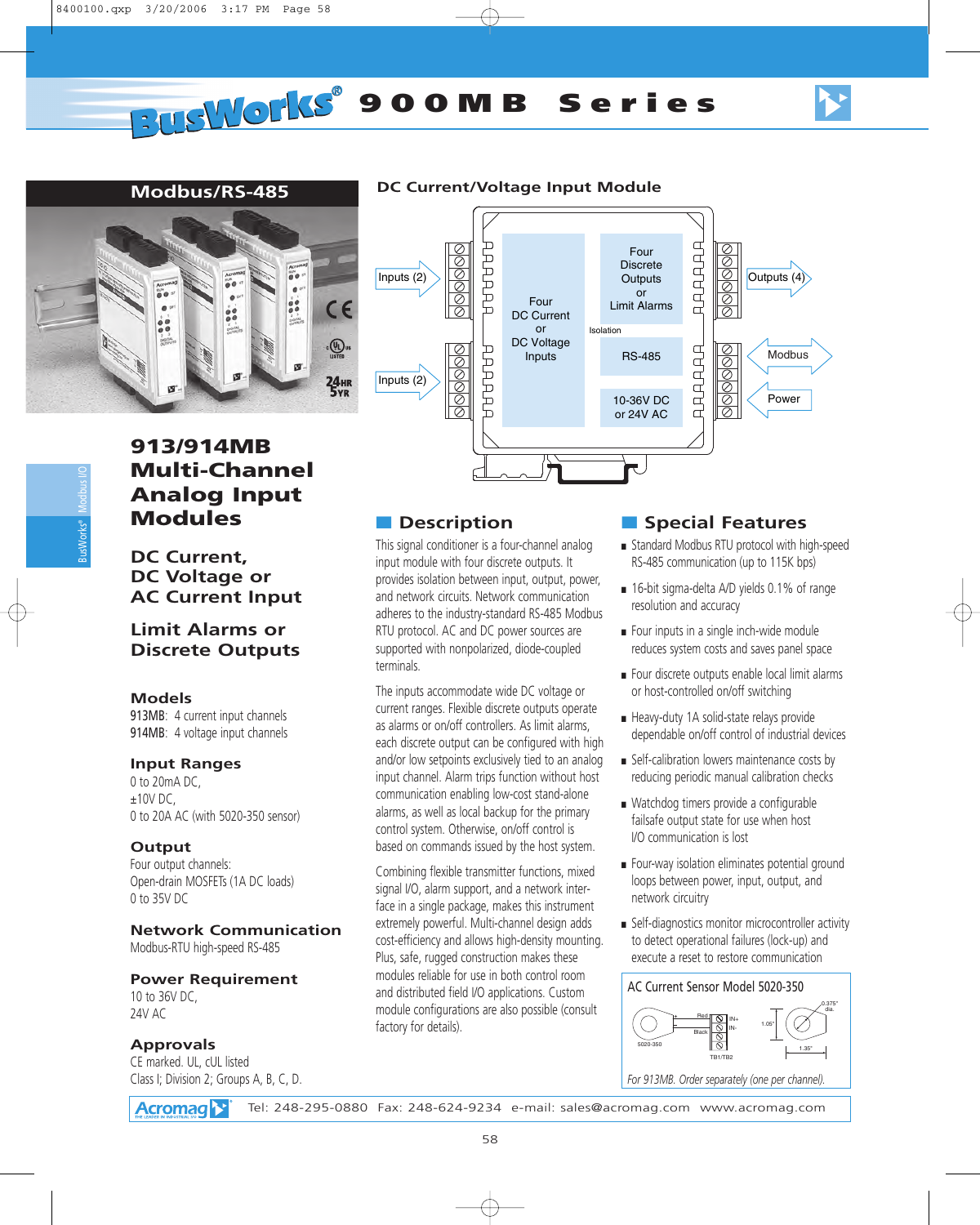# **Modbus/RS-485**



#### **DC Current/Voltage Input Module**



# **913/914MB Multi-Channel Analog Input Modules**

**DC Current, DC Voltage or AC Current Input**

# **Limit Alarms or Discrete Outputs**

#### **Models**

Modbus I/O

BusWorks®

913MB: 4 current input channels 914MB: 4 voltage input channels

#### **Input Ranges**

0 to 20mA DC,  $±10V$  DC, 0 to 20A AC (with 5020-350 sensor)

# **Output**

Four output channels: Open-drain MOSFETs (1A DC loads) 0 to 35V DC

**Network Communication** Modbus-RTU high-speed RS-485

#### **Power Requirement**

10 to 36V DC, 24V AC

## **Approvals**

CE marked. UL, cUL listed Class I; Division 2; Groups A, B, C, D.

# ■ **Description**

This signal conditioner is a four-channel analog input module with four discrete outputs. It provides isolation between input, output, power, and network circuits. Network communication adheres to the industry-standard RS-485 Modbus RTU protocol. AC and DC power sources are supported with nonpolarized, diode-coupled terminals.

The inputs accommodate wide DC voltage or current ranges. Flexible discrete outputs operate as alarms or on/off controllers. As limit alarms, each discrete output can be configured with high and/or low setpoints exclusively tied to an analog input channel. Alarm trips function without host communication enabling low-cost stand-alone alarms, as well as local backup for the primary control system. Otherwise, on/off control is based on commands issued by the host system.

Combining flexible transmitter functions, mixed signal I/O, alarm support, and a network interface in a single package, makes this instrument extremely powerful. Multi-channel design adds cost-efficiency and allows high-density mounting. Plus, safe, rugged construction makes these modules reliable for use in both control room and distributed field I/O applications. Custom module configurations are also possible (consult factory for details).

# ■ **Special Features**

- Standard Modbus RTU protocol with high-speed RS-485 communication (up to 115K bps)
- 16-bit sigma-delta A/D yields 0.1% of range resolution and accuracy
- Four inputs in a single inch-wide module reduces system costs and saves panel space
- Four discrete outputs enable local limit alarms or host-controlled on/off switching
- Heavy-duty 1A solid-state relays provide dependable on/off control of industrial devices
- Self-calibration lowers maintenance costs by reducing periodic manual calibration checks
- Watchdog timers provide a configurable failsafe output state for use when host I/O communication is lost
- Four-way isolation eliminates potential ground loops between power, input, output, and network circuitry
- Self-diagnostics monitor microcontroller activity to detect operational failures (lock-up) and execute a reset to restore communication

#### TB1/TB2 IN+ IN-Red Black 1.35" 1.05" 0.375" dia. 5020-350 AC Current Sensor Model 5020-350

*For 913MB. Order separately (one per channel).*

**Acromag**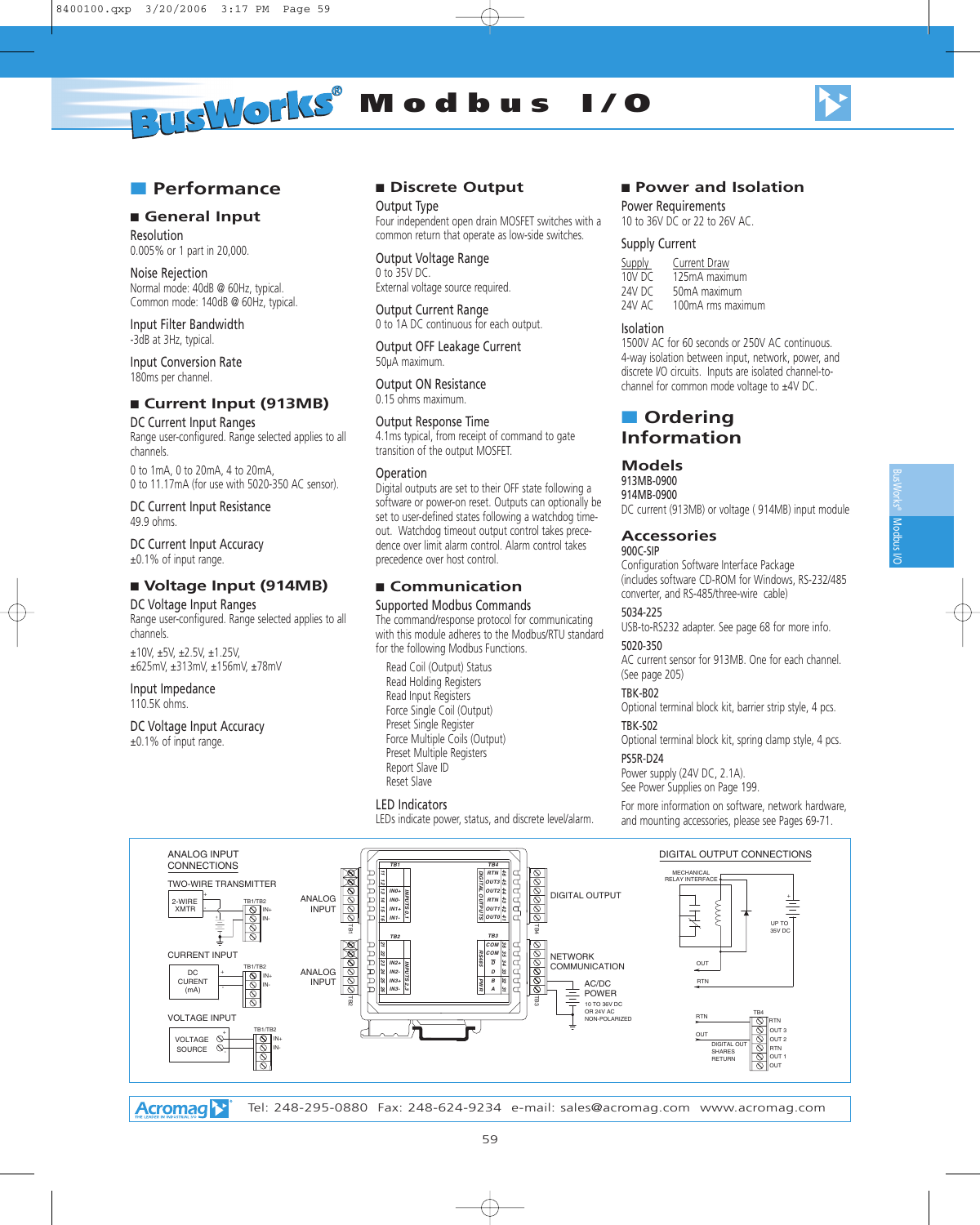

# ■ **Performance**

# ■ General Input

Resolution 0.005% or 1 part in 20,000.

Noise Rejection Normal mode: 40dB @ 60Hz, typical. Common mode: 140dB @ 60Hz, typical.

Input Filter Bandwidth -3dB at 3Hz, typical.

Input Conversion Rate 180ms per channel.

# ■ **Current Input (913MB)**

DC Current Input Ranges Range user-configured. Range selected applies to all channels.

0 to 1mA, 0 to 20mA, 4 to 20mA, 0 to 11.17mA (for use with 5020-350 AC sensor).

DC Current Input Resistance 49.9 ohms.

DC Current Input Accuracy ±0.1% of input range.

#### ■ **Voltage Input (914MB)**

DC Voltage Input Ranges

Range user-configured. Range selected applies to all channels.

±10V, ±5V, ±2.5V, ±1.25V, ±625mV, ±313mV, ±156mV, ±78mV

Input Impedance 110.5K ohms.

DC Voltage Input Accuracy ±0.1% of input range.

#### ■ **Discrete Output**

Output Type Four independent open drain MOSFET switches with a common return that operate as low-side switches.

Output Voltage Range 0 to 35V DC. External voltage source required.

Output Current Range 0 to 1A DC continuous for each output.

Output OFF Leakage Current 50µA maximum.

Output ON Resistance 0.15 ohms maximum.

#### Output Response Time

4.1ms typical, from receipt of command to gate transition of the output MOSFET.

#### Operation

Digital outputs are set to their OFF state following a software or power-on reset. Outputs can optionally be set to user-defined states following a watchdog timeout. Watchdog timeout output control takes precedence over limit alarm control. Alarm control takes precedence over host control.

#### ■ **Communication**

Supported Modbus Commands The command/response protocol for communicating with this module adheres to the Modbus/RTU standard for the following Modbus Functions.

Read Coil (Output) Status Read Holding Registers Read Input Registers Force Single Coil (Output) Preset Single Register Force Multiple Coils (Output) Preset Multiple Registers Report Slave ID Reset Slave

#### LED Indicators

LEDs indicate power, status, and discrete level/alarm.

#### ■ **Power and Isolation**

Power Requirements 10 to 36V DC or 22 to 26V AC.

#### Supply Current

Supply Current Draw 10V DC 125mA maximum<br>24V DC 50mA maximum 50mA maximum 24V AC 100mA rms maximum

#### Isolation

1500V AC for 60 seconds or 250V AC continuous. 4-way isolation between input, network, power, and discrete I/O circuits. Inputs are isolated channel-tochannel for common mode voltage to ±4V DC.

## ■ **Ordering Information**

#### **Models**

913MB-0900 914MB-0900 DC current (913MB) or voltage ( 914MB) input module

#### **Accessories**

900C-SIP Configuration Software Interface Package (includes software CD-ROM for Windows, RS-232/485 converter, and RS-485/three-wire cable)

#### 5034-225

USB-to-RS232 adapter. See page 68 for more info. 5020-350

AC current sensor for 913MB. One for each channel. (See page 205)

#### TBK-B02

Optional terminal block kit, barrier strip style, 4 pcs.

#### TBK-S02

Optional terminal block kit, spring clamp style, 4 pcs. PS5R-D24

#### Power supply (24V DC, 2.1A).

See Power Supplies on Page 199.

For more information on software, network hardware, and mounting accessories, please see Pages 69-71.



**Acromag**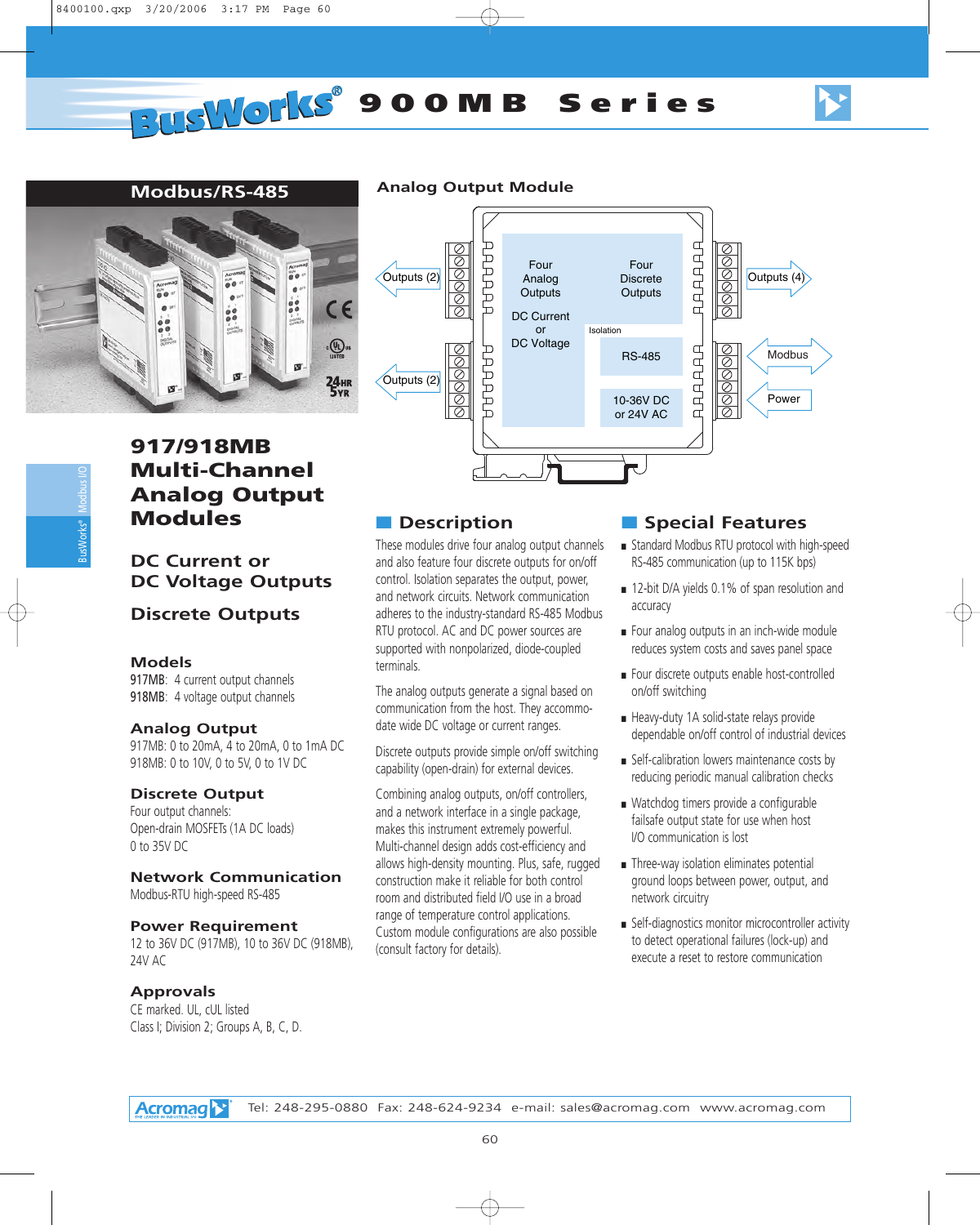

## **Modbus/RS-485 Analog Output Module**



# **917/918MB Multi-Channel Analog Output Modules**

# **DC Current or DC Voltage Outputs**

# **Discrete Outputs**

#### **Models**

917MB: 4 current output channels 918MB: 4 voltage output channels

#### **Analog Output**

917MB: 0 to 20mA, 4 to 20mA, 0 to 1mA DC 918MB: 0 to 10V, 0 to 5V, 0 to 1V DC

#### **Discrete Output**

Four output channels: Open-drain MOSFETs (1A DC loads) 0 to 35V DC

# **Network Communication**

Modbus-RTU high-speed RS-485

#### **Power Requirement**

12 to 36V DC (917MB), 10 to 36V DC (918MB), 24V AC

#### **Approvals**

CE marked. UL, cUL listed Class I; Division 2; Groups A, B, C, D.

# ■ **Description**

These modules drive four analog output channels and also feature four discrete outputs for on/off control. Isolation separates the output, power, and network circuits. Network communication adheres to the industry-standard RS-485 Modbus RTU protocol. AC and DC power sources are supported with nonpolarized, diode-coupled terminals.

The analog outputs generate a signal based on communication from the host. They accommodate wide DC voltage or current ranges.

Discrete outputs provide simple on/off switching capability (open-drain) for external devices.

Combining analog outputs, on/off controllers, and a network interface in a single package, makes this instrument extremely powerful. Multi-channel design adds cost-efficiency and allows high-density mounting. Plus, safe, rugged construction make it reliable for both control room and distributed field I/O use in a broad range of temperature control applications. Custom module configurations are also possible (consult factory for details).

- Standard Modbus RTU protocol with high-speed RS-485 communication (up to 115K bps)
- 12-bit D/A yields 0.1% of span resolution and accuracy
- Four analog outputs in an inch-wide module reduces system costs and saves panel space
- Four discrete outputs enable host-controlled on/off switching
- Heavy-duty 1A solid-state relays provide dependable on/off control of industrial devices
- Self-calibration lowers maintenance costs by reducing periodic manual calibration checks
- Watchdog timers provide a configurable failsafe output state for use when host I/O communication is lost
- Three-way isolation eliminates potential ground loops between power, output, and network circuitry
- Self-diagnostics monitor microcontroller activity to detect operational failures (lock-up) and execute a reset to restore communication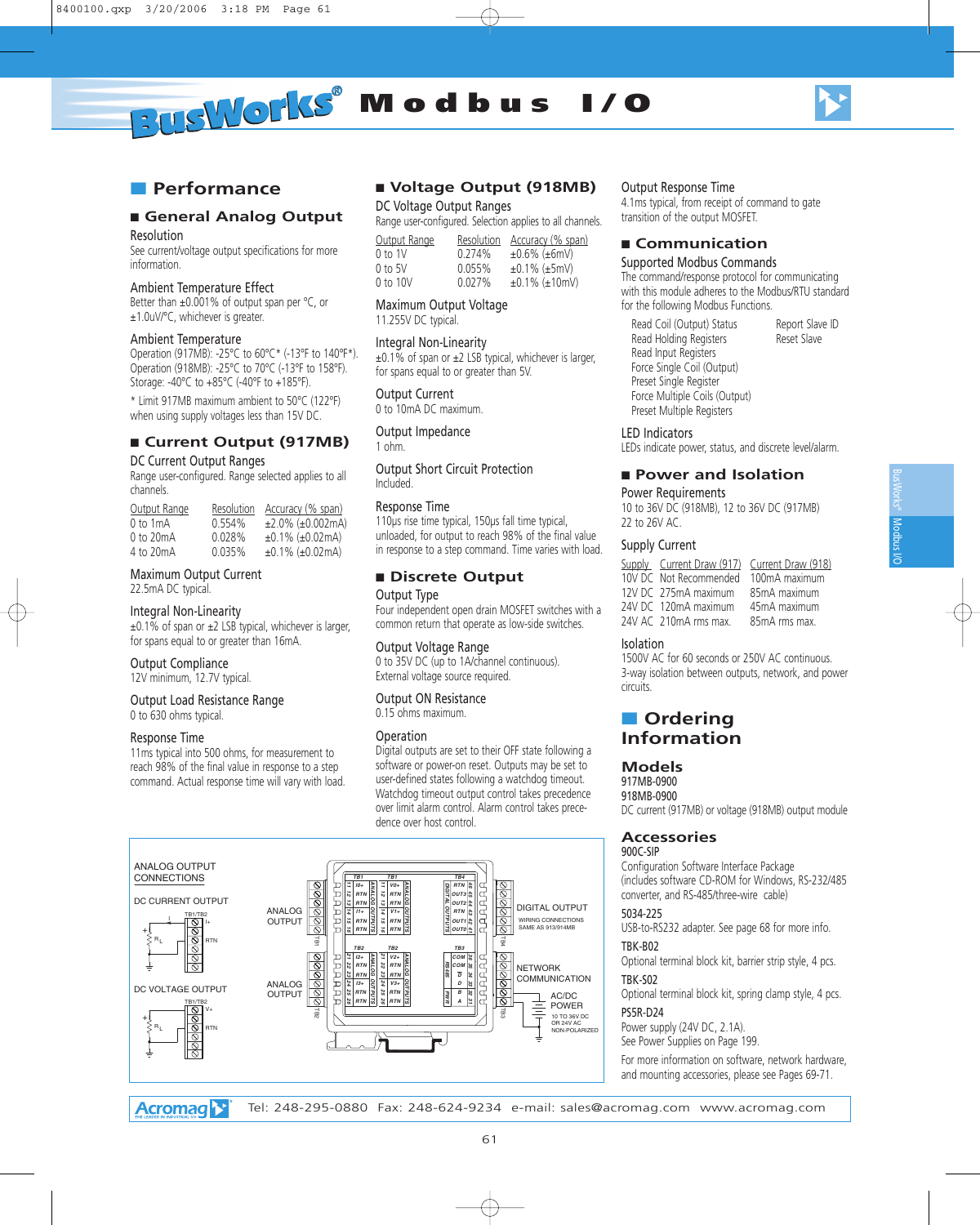**RUSWORKS®** Modbus I/O



# ■ **Performance**

# ■ General Analog Output

Resolution

See current/voltage output specifications for more information.

#### Ambient Temperature Effect

Better than ±0.001% of output span per °C, or ±1.0uV/°C, whichever is greater.

#### Ambient Temperature

Operation (917MB): -25°C to 60°C\* (-13°F to 140°F\*). Operation (918MB): -25°C to 70°C (-13°F to 158°F). Storage: -40°C to +85°C (-40°F to +185°F).

\* Limit 917MB maximum ambient to 50°C (122°F) when using supply voltages less than 15V DC.

## ■ **Current Output (917MB)**

#### DC Current Output Ranges

Range user-configured. Range selected applies to all channels.

| Output Range | Resolution | Accuracy (% span)       |
|--------------|------------|-------------------------|
| 0 to 1mA     | 0.554%     | $±2.0\%$ ( $±0.002mA$ ) |
| 0 to 20mA    | 0.028%     | $±0.1\%$ ( $±0.02mA$ )  |
| 4 to 20mA    | 0.035%     | $±0.1\%$ ( $±0.02mA$ )  |

# Maximum Output Current

22.5mA DC typical.

#### Integral Non-Linearity

 $\pm 0.1\%$  of span or  $\pm 2$  LSB typical, whichever is larger, for spans equal to or greater than 16mA.

Output Compliance

12V minimum, 12.7V typical.

#### Output Load Resistance Range 0 to 630 ohms typical.

#### Response Time

11ms typical into 500 ohms, for measurement to reach 98% of the final value in response to a step command. Actual response time will vary with load.

#### ■ **Voltage Output (918MB)**

#### DC Voltage Output Ranges

Range user-configured. Selection applies to all channels.

| Output Kange | Resolution | Accuracy (% span)    |
|--------------|------------|----------------------|
| 0 to 1V      | 0.274%     | $±0.6\%$ ( $±6mV$ )  |
| 0 to 5V      | 0.055%     | $±0.1\%$ ( $±5mV$ )  |
| 0 to 10V     | 0.027%     | $±0.1\%$ ( $±10mV$ ) |

#### Maximum Output Voltage

11.255V DC typical.

#### Integral Non-Linearity

 $\pm 0.1\%$  of span or  $\pm 2$  LSB typical, whichever is larger, for spans equal to or greater than 5V.

#### Output Current

0 to 10mA DC maximum.

Output Impedance 1 ohm.

Output Short Circuit Protection Included.

#### Response Time

110µs rise time typical, 150µs fall time typical, unloaded, for output to reach 98% of the final value in response to a step command. Time varies with load.

#### ■ **Discrete Output**

#### Output Type

Four independent open drain MOSFET switches with a common return that operate as low-side switches.

#### Output Voltage Range

0 to 35V DC (up to 1A/channel continuous). External voltage source required.

#### Output ON Resistance

0.15 ohms maximum.

#### Operation

Digital outputs are set to their OFF state following a software or power-on reset. Outputs may be set to user-defined states following a watchdog timeout. Watchdog timeout output control takes precedence over limit alarm control. Alarm control takes precedence over host control.



#### Output Response Time

4.1ms typical, from receipt of command to gate transition of the output MOSFET.

#### ■ **Communication**

#### Supported Modbus Commands

The command/response protocol for communicating with this module adheres to the Modbus/RTU standard for the following Modbus Functions.

Read Coil (Output) Status Report Slave ID<br>
Read Holding Registers
Reset Slave Read Holding Registers Read Input Registers Force Single Coil (Output) Preset Single Register Force Multiple Coils (Output) Preset Multiple Registers

LED Indicators

LEDs indicate power, status, and discrete level/alarm.

#### ■ **Power and Isolation**

#### Power Requirements 10 to 36V DC (918MB), 12 to 36V DC (917MB)

22 to 26V AC.

#### Supply Current

Supply Current Draw (917) Current Draw (918) 10V DC Not Recommended 100mA maximum<br>12V DC 275mA maximum 85mA maximum 12V DC 275mA maximum 85mA maximum<br>24V DC 120mA maximum 45mA maximum 24V DC 120mA maximum 24V AC 210mA rms max. 85mA rms max.

#### Isolation

1500V AC for 60 seconds or 250V AC continuous. 3-way isolation between outputs, network, and power circuits.

# ■ **Ordering Information**

#### **Models**

917MB-0900 918MB-0900 DC current (917MB) or voltage (918MB) output module

# **Accessories**

#### 900C-SIP

Configuration Software Interface Package (includes software CD-ROM for Windows, RS-232/485 converter, and RS-485/three-wire cable)

#### 5034-225

USB-to-RS232 adapter. See page 68 for more info.

#### TBK-B02

Optional terminal block kit, barrier strip style, 4 pcs. TBK-S02

Optional terminal block kit, spring clamp style, 4 pcs.

#### PS5R-D24

Power supply (24V DC, 2.1A). See Power Supplies on Page 199.

For more information on software, network hardware, and mounting accessories, please see Pages 69-71.

**Acromag**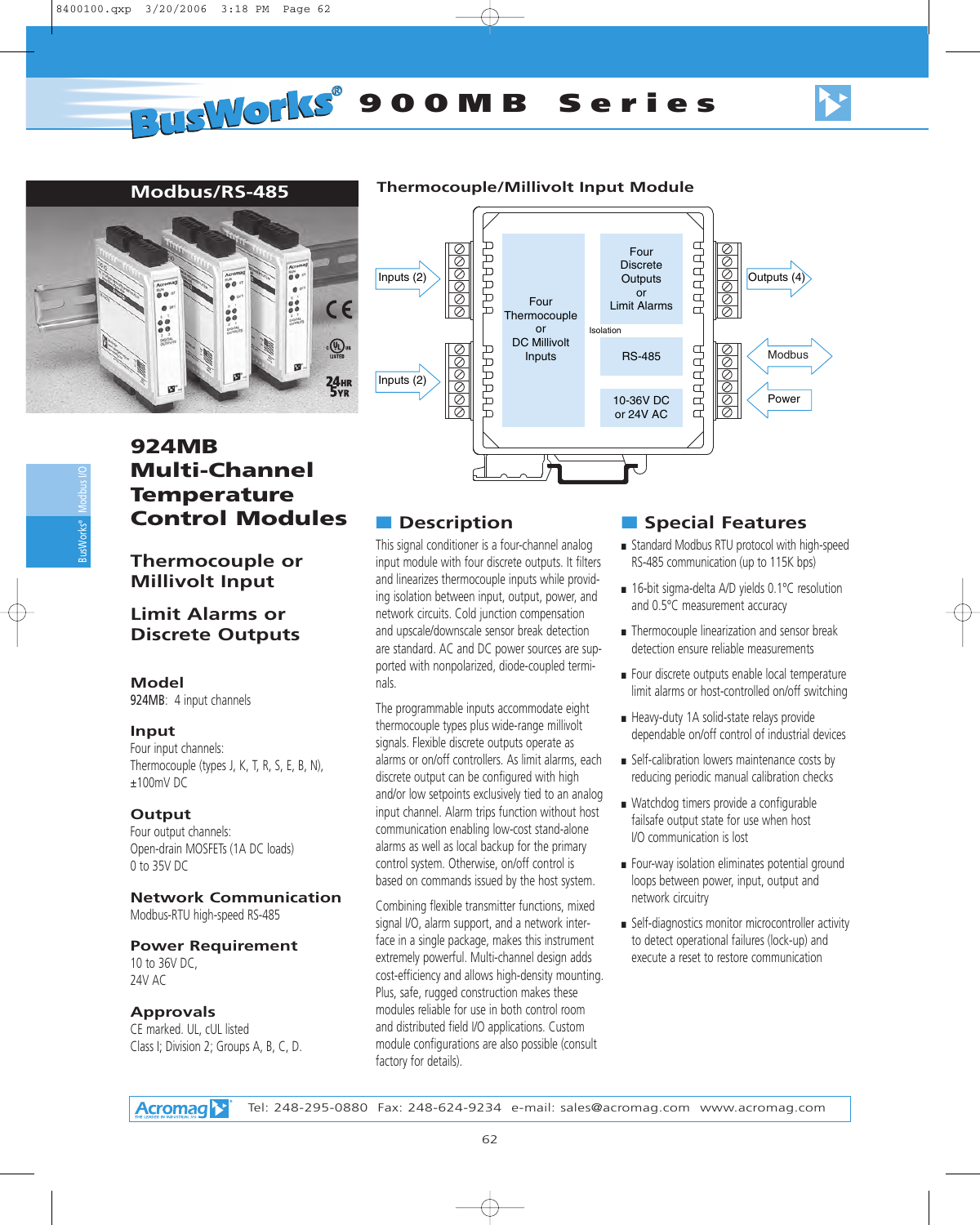# **PUSWOLKS** 900MB Series





# **Modbus/RS-485 Thermocouple/Millivolt Input Module**



# **924MB Multi-Channel Temperature Control Modules**

# **Thermocouple or Millivolt Input**

# **Limit Alarms or Discrete Outputs**

#### **Model**

924MB: 4 input channels

#### **Input**

Four input channels: Thermocouple (types J, K, T, R, S, E, B, N), ±100mV DC

## **Output**

Four output channels: Open-drain MOSFETs (1A DC loads) 0 to 35V DC

#### **Network Communication**

Modbus-RTU high-speed RS-485

## **Power Requirement**

10 to 36V DC, 24V AC

#### **Approvals**

CE marked. UL, cUL listed Class I; Division 2; Groups A, B, C, D.

# ■ **Description**

This signal conditioner is a four-channel analog input module with four discrete outputs. It filters and linearizes thermocouple inputs while providing isolation between input, output, power, and network circuits. Cold junction compensation and upscale/downscale sensor break detection are standard. AC and DC power sources are supported with nonpolarized, diode-coupled terminals.

The programmable inputs accommodate eight thermocouple types plus wide-range millivolt signals. Flexible discrete outputs operate as alarms or on/off controllers. As limit alarms, each discrete output can be configured with high and/or low setpoints exclusively tied to an analog input channel. Alarm trips function without host communication enabling low-cost stand-alone alarms as well as local backup for the primary control system. Otherwise, on/off control is based on commands issued by the host system.

Combining flexible transmitter functions, mixed signal I/O, alarm support, and a network interface in a single package, makes this instrument extremely powerful. Multi-channel design adds cost-efficiency and allows high-density mounting. Plus, safe, rugged construction makes these modules reliable for use in both control room and distributed field I/O applications. Custom module configurations are also possible (consult factory for details).

- Standard Modbus RTU protocol with high-speed RS-485 communication (up to 115K bps)
- 16-bit sigma-delta A/D yields 0.1°C resolution and 0.5°C measurement accuracy
- Thermocouple linearization and sensor break detection ensure reliable measurements
- Four discrete outputs enable local temperature limit alarms or host-controlled on/off switching
- Heavy-duty 1A solid-state relays provide dependable on/off control of industrial devices
- Self-calibration lowers maintenance costs by reducing periodic manual calibration checks
- Watchdog timers provide a configurable failsafe output state for use when host I/O communication is lost
- Four-way isolation eliminates potential ground loops between power, input, output and network circuitry
- Self-diagnostics monitor microcontroller activity to detect operational failures (lock-up) and execute a reset to restore communication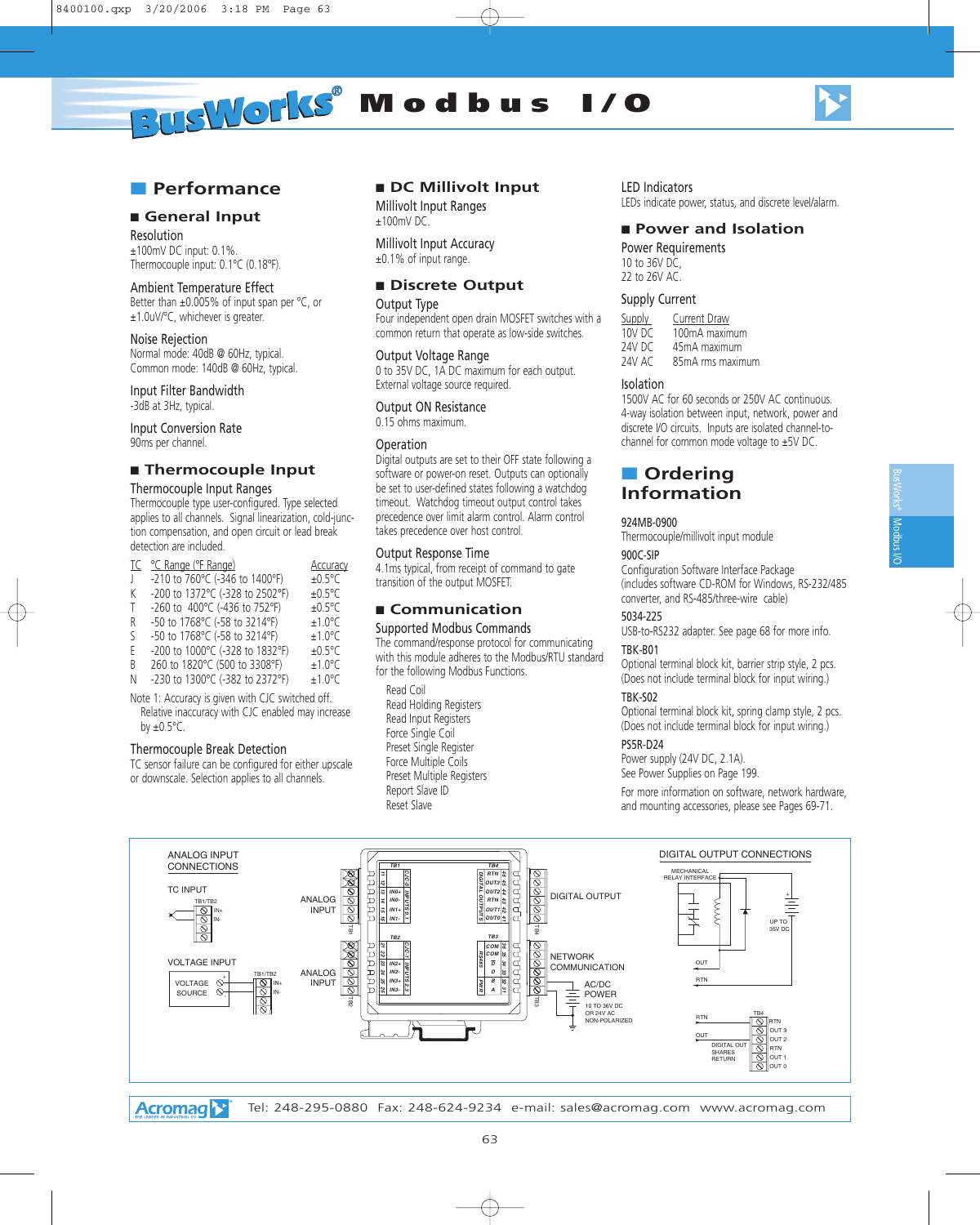

#### ■ **Performance**

#### ■ General Input

Resolution ±100mV DC input: 0.1%. Thermocouple input: 0.1°C (0.18°F).

#### Ambient Temperature Effect

Better than ±0.005% of input span per °C, or ±1.0uV/°C, whichever is greater.

#### Noise Rejection

Normal mode: 40dB @ 60Hz, typical. Common mode: 140dB @ 60Hz, typical.

Input Filter Bandwidth -3dB at 3Hz, typical.

Input Conversion Rate 90ms per channel.

#### ■ **Thermocouple Input**

#### Thermocouple Input Ranges

Thermocouple type user-configured. Type selected applies to all channels. Signal linearization, cold-junction compensation, and open circuit or lead break detection are included.

|         | TC °C Range (°F Range)          | Accuracy         |
|---------|---------------------------------|------------------|
| $\perp$ | -210 to 760°C (-346 to 1400°F)  | $±0.5^{\circ}$ C |
| K       | -200 to 1372°C (-328 to 2502°F) | $±0.5^{\circ}$ C |
| T.      | -260 to 400°C (-436 to 752°F)   | $±0.5^{\circ}$ C |
| R       | -50 to 1768°C (-58 to 3214°F)   | $±1.0^{\circ}$ C |
| ς       | -50 to 1768°C (-58 to 3214°F)   | $±1.0^{\circ}$ C |
| F       | -200 to 1000°C (-328 to 1832°F) | $±0.5^{\circ}$ C |
| B       | 260 to 1820°C (500 to 3308°F)   | $±1.0^{\circ}$ C |
| Ν       | -230 to 1300°C (-382 to 2372°F) | $±1.0^{\circ}$ C |

Note 1: Accuracy is given with CJC switched off. Relative inaccuracy with CJC enabled may increase by  $\pm 0.5$ °C.

#### Thermocouple Break Detection

TC sensor failure can be configured for either upscale or downscale. Selection applies to all channels.

#### ■ **DC Millivolt Input**

Millivolt Input Ranges ±100mV DC.

Millivolt Input Accuracy ±0.1% of input range.

#### ■ Discrete Output

#### Output Type

Four independent open drain MOSFET switches with a common return that operate as low-side switches.

#### Output Voltage Range

0 to 35V DC, 1A DC maximum for each output. External voltage source required.

#### Output ON Resistance

0.15 ohms maximum.

#### Operation

Digital outputs are set to their OFF state following a software or power-on reset. Outputs can optionally be set to user-defined states following a watchdog timeout. Watchdog timeout output control takes precedence over limit alarm control. Alarm control takes precedence over host control.

#### Output Response Time

4.1ms typical, from receipt of command to gate transition of the output MOSFET.

#### ■ **Communication**

Supported Modbus Commands The command/response protocol for communicating with this module adheres to the Modbus/RTU standard for the following Modbus Functions.

Read Coil Read Holding Registers Read Input Registers Force Single Coil Preset Single Register Force Multiple Coils Preset Multiple Registers Report Slave ID Reset Slave

#### LED Indicators

LEDs indicate power, status, and discrete level/alarm.

#### ■ **Power and Isolation**

Power Requirements 10 to 36V DC, 22 to 26V AC.

#### Supply Current

Supply Current Draw 10V DC 100mA maximum<br>24V DC 45mA maximum 45mA maximum 24V AC 85mA rms maximum

#### Isolation

1500V AC for 60 seconds or 250V AC continuous. 4-way isolation between input, network, power and discrete I/O circuits. Inputs are isolated channel-tochannel for common mode voltage to ±5V DC.

# ■ **Ordering Information**

#### 924MB-0900

Thermocouple/millivolt input module

#### 900C-SIP

Configuration Software Interface Package (includes software CD-ROM for Windows, RS-232/485 converter, and RS-485/three-wire cable)

## 5034-225

USB-to-RS232 adapter. See page 68 for more info. TBK-B01

Optional terminal block kit, barrier strip style, 2 pcs. (Does not include terminal block for input wiring.)

#### TBK-S02

Optional terminal block kit, spring clamp style, 2 pcs. (Does not include terminal block for input wiring.)

#### PS5R-D24

Power supply (24V DC, 2.1A). See Power Supplies on Page 199.

For more information on software, network hardware, and mounting accessories, please see Pages 69-71.

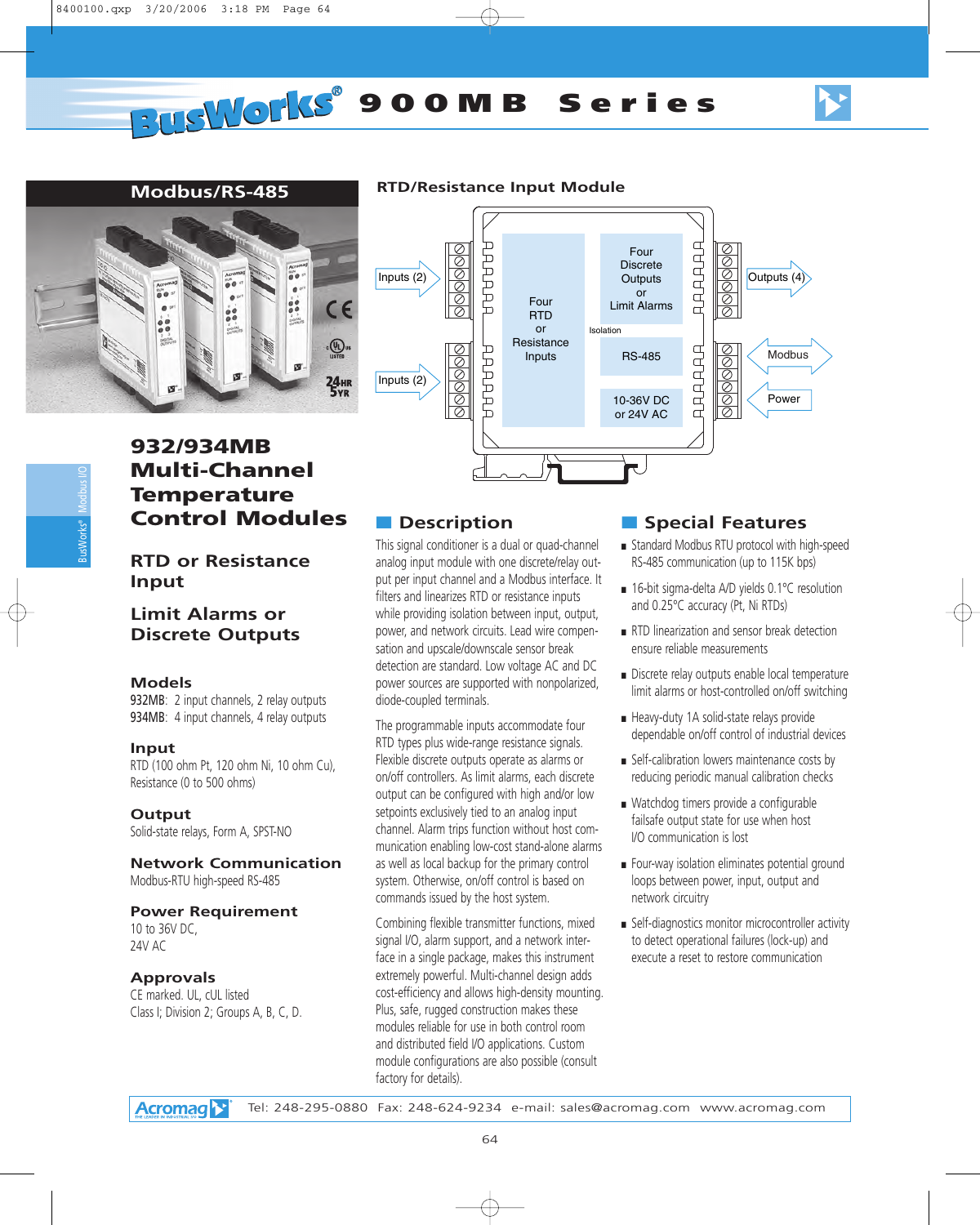

# **Modbus/RS-485 RTD/Resistance Input Module**



# **932/934MB Multi-Channel Temperature Control Modules**

# **RTD or Resistance Input**

# **Limit Alarms or Discrete Outputs**

#### **Models**

932MB: 2 input channels, 2 relay outputs 934MB: 4 input channels, 4 relay outputs

#### **Input**

RTD (100 ohm Pt, 120 ohm Ni, 10 ohm Cu), Resistance (0 to 500 ohms)

**Output** Solid-state relays, Form A, SPST-NO

#### **Network Communication** Modbus-RTU high-speed RS-485

# **Power Requirement**

10 to 36V DC, 24V AC

#### **Approvals**

CE marked. UL, cUL listed Class I; Division 2; Groups A, B, C, D.

# ■ **Description**

This signal conditioner is a dual or quad-channel analog input module with one discrete/relay output per input channel and a Modbus interface. It filters and linearizes RTD or resistance inputs while providing isolation between input, output, power, and network circuits. Lead wire compensation and upscale/downscale sensor break detection are standard. Low voltage AC and DC power sources are supported with nonpolarized, diode-coupled terminals.

The programmable inputs accommodate four RTD types plus wide-range resistance signals. Flexible discrete outputs operate as alarms or on/off controllers. As limit alarms, each discrete output can be configured with high and/or low setpoints exclusively tied to an analog input channel. Alarm trips function without host communication enabling low-cost stand-alone alarms as well as local backup for the primary control system. Otherwise, on/off control is based on commands issued by the host system.

Combining flexible transmitter functions, mixed signal I/O, alarm support, and a network interface in a single package, makes this instrument extremely powerful. Multi-channel design adds cost-efficiency and allows high-density mounting. Plus, safe, rugged construction makes these modules reliable for use in both control room and distributed field I/O applications. Custom module configurations are also possible (consult factory for details).

- Standard Modbus RTU protocol with high-speed RS-485 communication (up to 115K bps)
- 16-bit sigma-delta A/D yields 0.1°C resolution and 0.25°C accuracy (Pt, Ni RTDs)
- RTD linearization and sensor break detection ensure reliable measurements
- Discrete relay outputs enable local temperature limit alarms or host-controlled on/off switching
- Heavy-duty 1A solid-state relays provide dependable on/off control of industrial devices
- Self-calibration lowers maintenance costs by reducing periodic manual calibration checks
- Watchdog timers provide a configurable failsafe output state for use when host I/O communication is lost
- Four-way isolation eliminates potential ground loops between power, input, output and network circuitry
- Self-diagnostics monitor microcontroller activity to detect operational failures (lock-up) and execute a reset to restore communication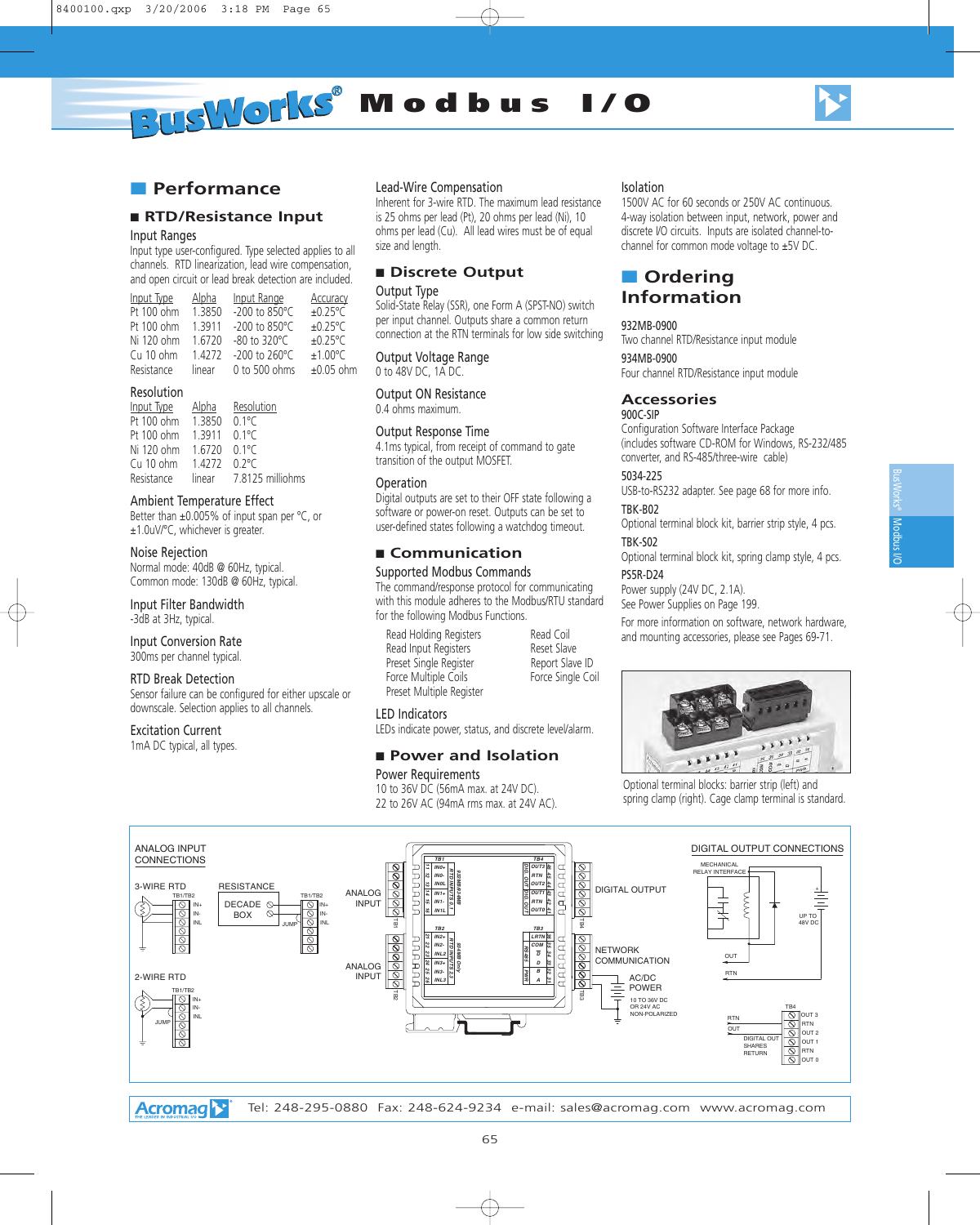

# ■ **Performance**

#### ■ **RTD/Resistance Input**

#### Input Ranges

Input type user-configured. Type selected applies to all channels. RTD linearization, lead wire compensation, and open circuit or lead break detection are included.

| Input Type | Alpha     | Input Range                | Accuracy          |
|------------|-----------|----------------------------|-------------------|
| Pt 100 ohm | 1.3850    | -200 to 850°C              | $±0.25^{\circ}$ C |
| Pt 100 ohm | 1.3911    | $-200$ to 850 $^{\circ}$ C | $±0.25^{\circ}$ C |
| Ni 120 ohm | 16720     | $-80$ to 320 °C            | $±0.25^{\circ}$ C |
| Cu 10 ohm  | 1 4 2 7 2 | $-200$ to $260^{\circ}$ C  | ±1.00°C           |
| Resistance | linear    | 0 to 500 ohms              | $±0.05$ ohm       |

#### Resolution

| Input Type | <u>Alpha</u> | Resolution       |
|------------|--------------|------------------|
| Pt 100 ohm | 1.3850       | $0.1^{\circ}$ C  |
| Pt 100 ohm | 1 3 9 1 1    | $01^{\circ}C$    |
| Ni 120 ohm | 1 6720       | $0.1^{\circ}$ C  |
| Cu 10 ohm  | 1 4272       | $0.2^{\circ}$ C  |
| Resistance | linear       | 7.8125 milliohms |

#### Ambient Temperature Effect

Better than ±0.005% of input span per °C, or ±1.0uV/°C, whichever is greater.

#### Noise Rejection

Normal mode: 40dB @ 60Hz, typical. Common mode: 130dB @ 60Hz, typical.

Input Filter Bandwidth -3dB at 3Hz, typical.

#### Input Conversion Rate 300ms per channel typical.

#### RTD Break Detection

Sensor failure can be configured for either upscale or downscale. Selection applies to all channels.

#### Excitation Current

1mA DC typical, all types.

#### Lead-Wire Compensation

Inherent for 3-wire RTD. The maximum lead resistance is 25 ohms per lead (Pt), 20 ohms per lead (Ni), 10 ohms per lead (Cu). All lead wires must be of equal size and length.

#### ■ **Discrete Output** Output Type

Solid-State Relay (SSR), one Form A (SPST-NO) switch per input channel. Outputs share a common return connection at the RTN terminals for low side switching

Output Voltage Range 0 to 48V DC, 1A DC.

#### Output ON Resistance

0.4 ohms maximum.

#### Output Response Time

4.1ms typical, from receipt of command to gate transition of the output MOSFET.

#### Operation

Digital outputs are set to their OFF state following a software or power-on reset. Outputs can be set to user-defined states following a watchdog timeout.

#### ■ **Communication**

#### Supported Modbus Commands

The command/response protocol for communicating with this module adheres to the Modbus/RTU standard for the following Modbus Functions.

Read Holding Registers Read Coil Read Input Registers<br>
Preset Single Register<br>
Report Slave ID Preset Single Register **Report Slave ID**<br>Porce Multiple Coils **Report Stangle Coil** Force Multiple Coils Preset Multiple Register

#### LED Indicators LEDs indicate power, status, and discrete level/alarm.

#### ■ **Power and Isolation**

#### Power Requirements

10 to 36V DC (56mA max. at 24V DC). 22 to 26V AC (94mA rms max. at 24V AC).

#### Isolation

1500V AC for 60 seconds or 250V AC continuous. 4-way isolation between input, network, power and discrete I/O circuits. Inputs are isolated channel-tochannel for common mode voltage to ±5V DC.

# ■ **Ordering Information**

#### 932MB-0900

Two channel RTD/Resistance input module 934MB-0900

Four channel RTD/Resistance input module

#### **Accessories**

#### 900C-SIP

Configuration Software Interface Package (includes software CD-ROM for Windows, RS-232/485 converter, and RS-485/three-wire cable)

#### 5034-225

USB-to-RS232 adapter. See page 68 for more info. TBK-B02

Optional terminal block kit, barrier strip style, 4 pcs. TBK-S02

Optional terminal block kit, spring clamp style, 4 pcs.

#### PS5R-D24

Power supply (24V DC, 2.1A). See Power Supplies on Page 199.

For more information on software, network hardware, and mounting accessories, please see Pages 69-71.



Optional terminal blocks: barrier strip (left) and spring clamp (right). Cage clamp terminal is standard.



**Acromag**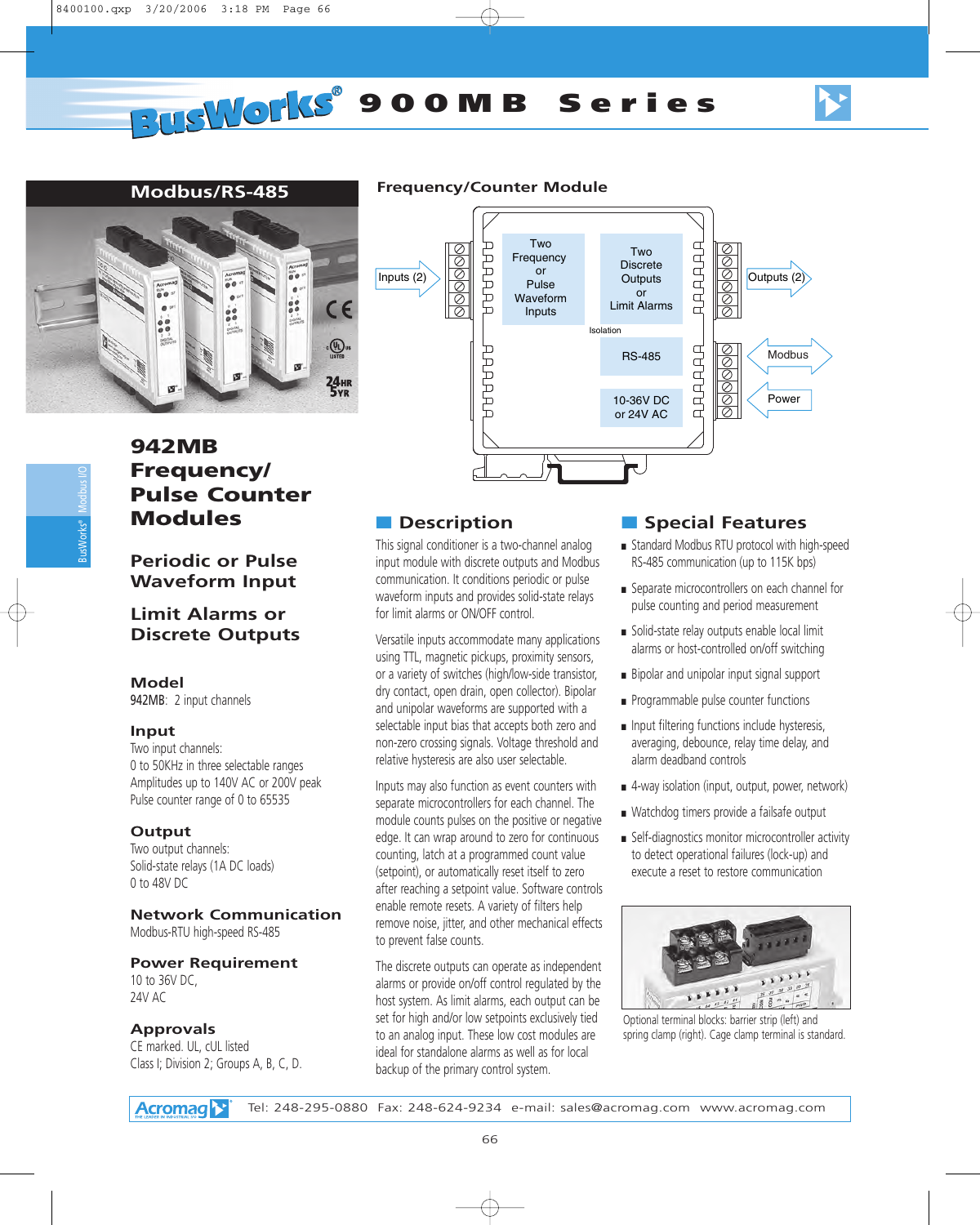

# **Modbus/RS-485**



#### **Frequency/Counter Module**



# **942MB Frequency/ Pulse Counter Modules**

**Periodic or Pulse Waveform Input**

# **Limit Alarms or Discrete Outputs**

#### **Model**

942MB: 2 input channels

#### **Input**

Two input channels: 0 to 50KHz in three selectable ranges Amplitudes up to 140V AC or 200V peak Pulse counter range of 0 to 65535

#### **Output**

Two output channels: Solid-state relays (1A DC loads) 0 to 48V DC

#### **Network Communication** Modbus-RTU high-speed RS-485

#### **Power Requirement** 10 to 36V DC,

24V AC

#### **Approvals**

CE marked. UL, cUL listed Class I; Division 2; Groups A, B, C, D.

# ■ **Description**

This signal conditioner is a two-channel analog input module with discrete outputs and Modbus communication. It conditions periodic or pulse waveform inputs and provides solid-state relays for limit alarms or ON/OFF control.

Versatile inputs accommodate many applications using TTL, magnetic pickups, proximity sensors, or a variety of switches (high/low-side transistor, dry contact, open drain, open collector). Bipolar and unipolar waveforms are supported with a selectable input bias that accepts both zero and non-zero crossing signals. Voltage threshold and relative hysteresis are also user selectable.

Inputs may also function as event counters with separate microcontrollers for each channel. The module counts pulses on the positive or negative edge. It can wrap around to zero for continuous counting, latch at a programmed count value (setpoint), or automatically reset itself to zero after reaching a setpoint value. Software controls enable remote resets. A variety of filters help remove noise, jitter, and other mechanical effects to prevent false counts.

The discrete outputs can operate as independent alarms or provide on/off control regulated by the host system. As limit alarms, each output can be set for high and/or low setpoints exclusively tied to an analog input. These low cost modules are ideal for standalone alarms as well as for local backup of the primary control system.

# ■ **Special Features**

- Standard Modbus RTU protocol with high-speed RS-485 communication (up to 115K bps)
- Separate microcontrollers on each channel for pulse counting and period measurement
- Solid-state relay outputs enable local limit alarms or host-controlled on/off switching
- Bipolar and unipolar input signal support
- Programmable pulse counter functions
- Input filtering functions include hysteresis, averaging, debounce, relay time delay, and alarm deadband controls
- 4-way isolation (input, output, power, network)
- Watchdog timers provide a failsafe output
- Self-diagnostics monitor microcontroller activity to detect operational failures (lock-up) and execute a reset to restore communication



Optional terminal blocks: barrier strip (left) and spring clamp (right). Cage clamp terminal is standard.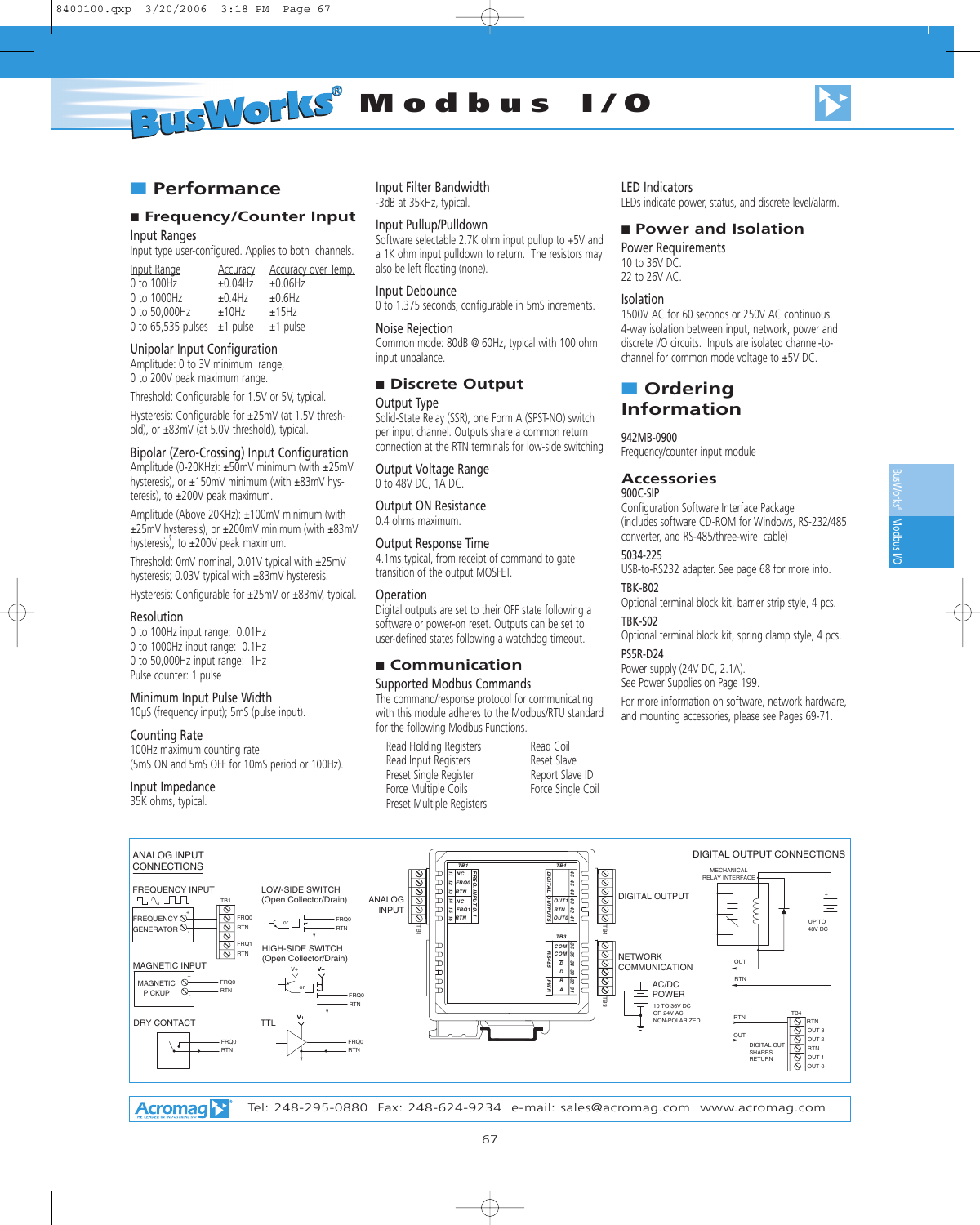

# ■ **Performance**

#### ■ **Frequency/Counter Input**

Input Ranges

Input type user-configured. Applies to both channels.

| Input Range                      | <b>Accuracy</b> | <b>Accuracy over Temp.</b> |
|----------------------------------|-----------------|----------------------------|
| 0 to 100Hz                       | $±0.04$ Hz      | ±0.06Hz                    |
| 0 to 1000Hz                      | $±0.4$ Hz       | ±0.6Hz                     |
| 0 to 50,000Hz                    | ±10Hz           | ±15Hz                      |
| 0 to 65,535 pulses $\pm$ 1 pulse |                 | $±1$ pulse                 |

#### Unipolar Input Configuration

Amplitude: 0 to 3V minimum range, 0 to 200V peak maximum range.

Threshold: Configurable for 1.5V or 5V, typical.

Hysteresis: Configurable for ±25mV (at 1.5V threshold), or ±83mV (at 5.0V threshold), typical.

#### Bipolar (Zero-Crossing) Input Configuration

Amplitude (0-20KHz): ±50mV minimum (with ±25mV hysteresis), or ±150mV minimum (with ±83mV hysteresis), to ±200V peak maximum.

Amplitude (Above 20KHz): ±100mV minimum (with ±25mV hysteresis), or ±200mV minimum (with ±83mV hysteresis), to ±200V peak maximum.

Threshold: 0mV nominal, 0.01V typical with ±25mV hysteresis; 0.03V typical with ±83mV hysteresis.

Hysteresis: Configurable for ±25mV or ±83mV, typical.

#### Resolution

0 to 100Hz input range: 0.01Hz 0 to 1000Hz input range: 0.1Hz 0 to 50,000Hz input range: 1Hz Pulse counter: 1 pulse

#### Minimum Input Pulse Width

10µS (frequency input); 5mS (pulse input).

#### Counting Rate

100Hz maximum counting rate (5mS ON and 5mS OFF for 10mS period or 100Hz).

#### Input Impedance

35K ohms, typical.

ANALOG INPUT

FREQUENCY  $\mathbb{O}^{+}$ generator  $\odot$ 

MAGNETIC  $PICKUP$   $\heartsuit$ 

DRY CONTACT

MAGNETIC INPUT

+

Input Filter Bandwidth -3dB at 35kHz, typical.

#### Input Pullup/Pulldown

Software selectable 2.7K ohm input pullup to +5V and a 1K ohm input pulldown to return. The resistors may also be left floating (none).

#### Input Debounce

0 to 1.375 seconds, configurable in 5mS increments.

#### Noise Rejection

Common mode: 80dB @ 60Hz, typical with 100 ohm input unbalance.

#### ■ Discrete Output

#### Output Type

Solid-State Relay (SSR), one Form A (SPST-NO) switch per input channel. Outputs share a common return connection at the RTN terminals for low-side switching

#### Output Voltage Range 0 to 48V DC, 1A DC.

Output ON Resistance 0.4 ohms maximum.

#### Output Response Time

4.1ms typical, from receipt of command to gate transition of the output MOSFET.

#### Operation

Digital outputs are set to their OFF state following a software or power-on reset. Outputs can be set to user-defined states following a watchdog timeout.

# ■ **Communication**

#### Supported Modbus Commands

The command/response protocol for communicating with this module adheres to the Modbus/RTU standard for the following Modbus Functions.

Read Holding Registers Read Coil Read Input Registers Reset Slave Preset Single Register Report Slave ID Force Multiple Coils **Force Single Coil** Preset Multiple Registers

LED Indicators

LEDs indicate power, status, and discrete level/alarm.

#### ■ **Power and Isolation**

Power Requirements 10 to 36V DC. 22 to 26V AC.

#### Isolation

1500V AC for 60 seconds or 250V AC continuous. 4-way isolation between input, network, power and discrete I/O circuits. Inputs are isolated channel-tochannel for common mode voltage to ±5V DC.

# ■ **Ordering Information**

#### 942MB-0900

Frequency/counter input module

#### **Accessories**

#### 900C-SIP

Configuration Software Interface Package (includes software CD-ROM for Windows, RS-232/485 converter, and RS-485/three-wire cable)

#### 5034-225

USB-to-RS232 adapter. See page 68 for more info. TBK-B02

# Optional terminal block kit, barrier strip style, 4 pcs.

#### TBK-S02

Optional terminal block kit, spring clamp style, 4 pcs. PS5R-D24

Power supply (24V DC, 2.1A). See Power Supplies on Page 199.

For more information on software, network hardware, and mounting accessories, please see Pages 69-71.

OUT 0

DIGITAL OUTPUT CONNECTIONS CONNECTIONS<br> **CONNECTIONS**<br>
FREQUENCY INPUT LOW-SIDE SWITCH **DIGITAL DIGITAL DIGITAL DIGITAL DIGITAL** *TB1 TB4* MECHANICAL RELAY INTERFACE *NC FREQ. 45 46 12 FRQ0* FREQUENCY INPUT<br>"L"\JILTL LOW-SIDE SWITCH *13 RTN INPUT* DIGITAL OUTPUT + (Open Collector/Drain) ANALOG *OUTPUTS* TB1 *14 OUT1 43* Ş *NC* INPUT *15 FRQ1 0, RTN 42* ରଚ FRQ0 FRQ0 *16 RTN OUT0 36 41* UP TO 48V DC  $-$  RTN RTN TB1  $\overline{R}$ *TB3* FRQ1 HIGH-SIDE SWITCH *COM* **THEFT** RTN *RS485* NETWORK (Open Collector/Drain) *COM 33 34 35*  $\overline{D}$ OUT **COMMUNICATION** V+ V+ *D* RTN  $F_{\text{DQ}}$ AC/DC *<sup>B</sup> PWR 31 32* or POWER RTN *A* FRQ0 TB3 RTN 10 TO 36V DC OR 24V AC NON-POLARIZED TB4 RTN TTL V+ RTN ÷ OUT 3 OUT OUT 2 **FRO** FRQ0 DIGITAL OU RTN RTN RTN SHARES RETURN  $\overline{a}$ 

**Acromag**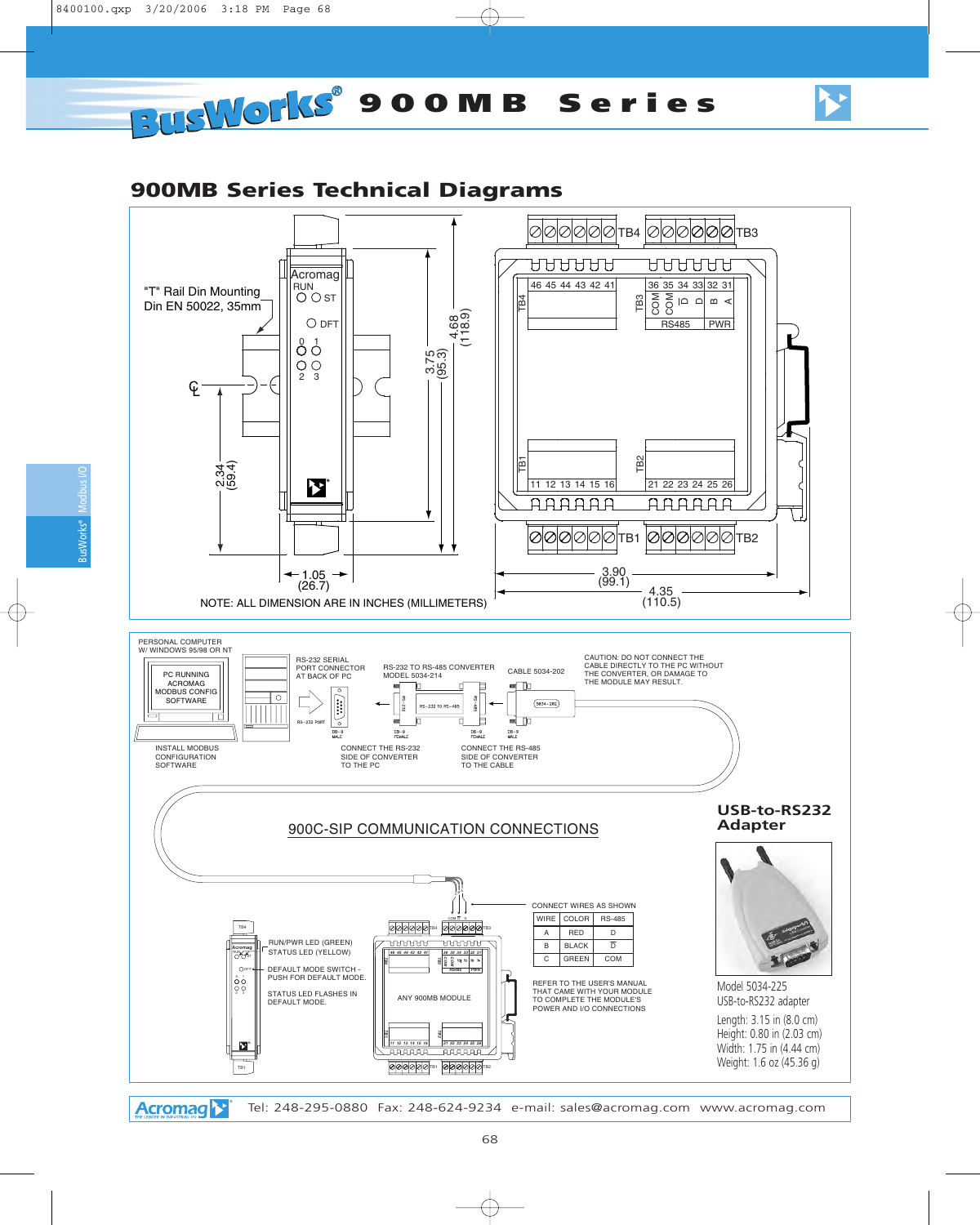# **900MB Series Technical Diagrams**



**Acromag** 

68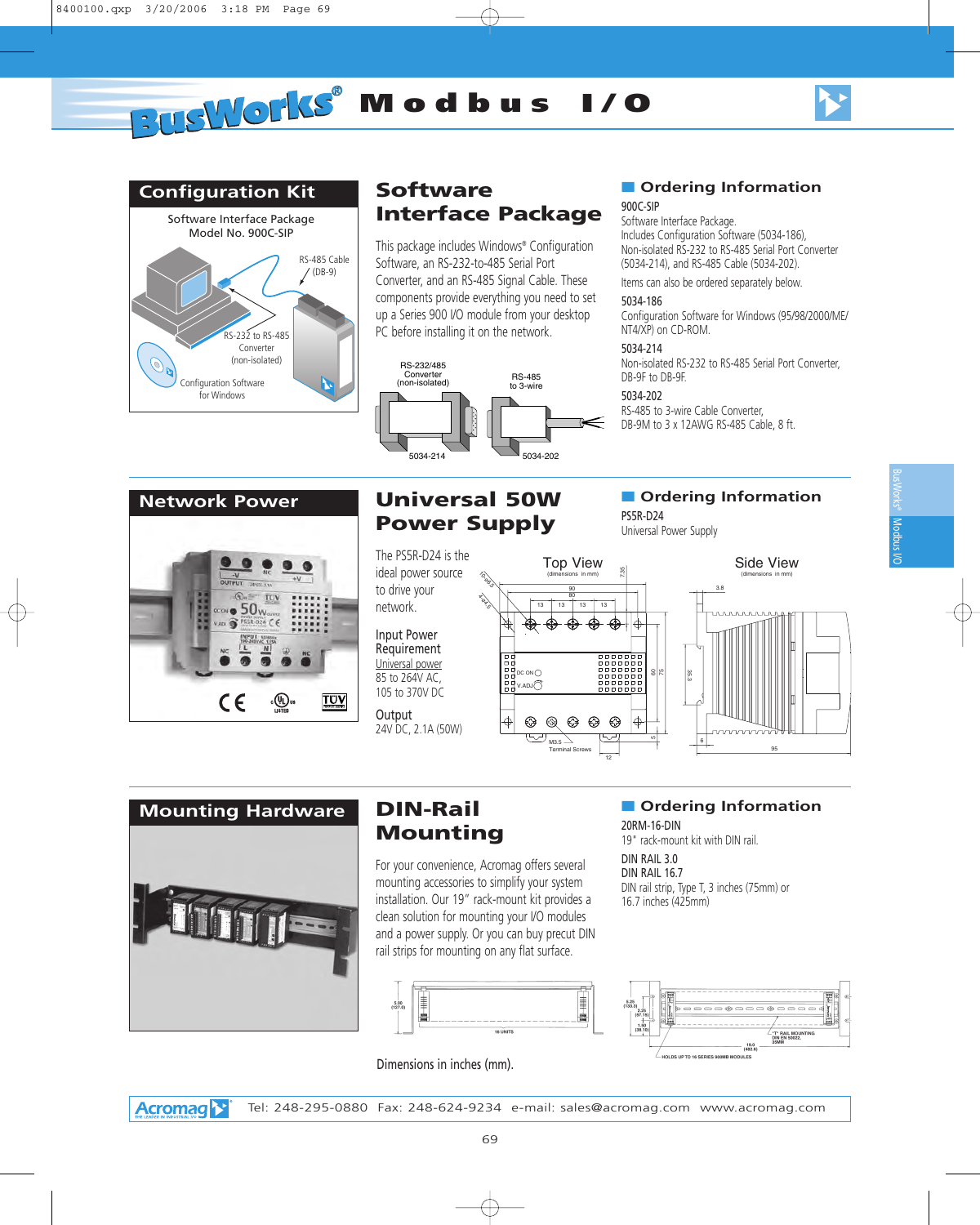



# **Configuration Kit**



# **Software Interface Package**

This package includes Windows® Configuration Software, an RS-232-to-485 Serial Port Converter, and an RS-485 Signal Cable. These components provide everything you need to set up a Series 900 I/O module from your desktop PC before installing it on the network.



# ■ **Ordering Information**

#### 900C-SIP

Software Interface Package. Includes Configuration Software (5034-186), Non-isolated RS-232 to RS-485 Serial Port Converter (5034-214), and RS-485 Cable (5034-202).

Items can also be ordered separately below.

#### 5034-186

Configuration Software for Windows (95/98/2000/ME/ NT4/XP) on CD-ROM.

#### 5034-214

Non-isolated RS-232 to RS-485 Serial Port Converter, DB-9F to DB-9F.

#### 5034-202

PS5R-D24

RS-485 to 3-wire Cable Converter, DB-9M to 3 x 12AWG RS-485 Cable, 8 ft.

■ **Ordering Information** 

## **Network Power**



# **Universal 50W Power Supply**

The PS5R-D24 is the ideal power source to drive your network.

Input Power Requirement Universal power 85 to 264V AC, 105 to 370V DC

**Output** 24V DC, 2.1A (50W)





# **DIN-Rail Mounting**

For your convenience, Acromag offers several mounting accessories to simplify your system installation. Our 19" rack-mount kit provides a clean solution for mounting your I/O modules and a power supply. Or you can buy precut DIN rail strips for mounting on any flat surface.



Dimensions in inches (mm).

# ■ **Ordering Information**

20RM-16-DIN 19" rack-mount kit with DIN rail.

DIN RAIL 3.0 DIN RAIL 16.7 DIN rail strip, Type T, 3 inches (75mm) or 16.7 inches (425mm)

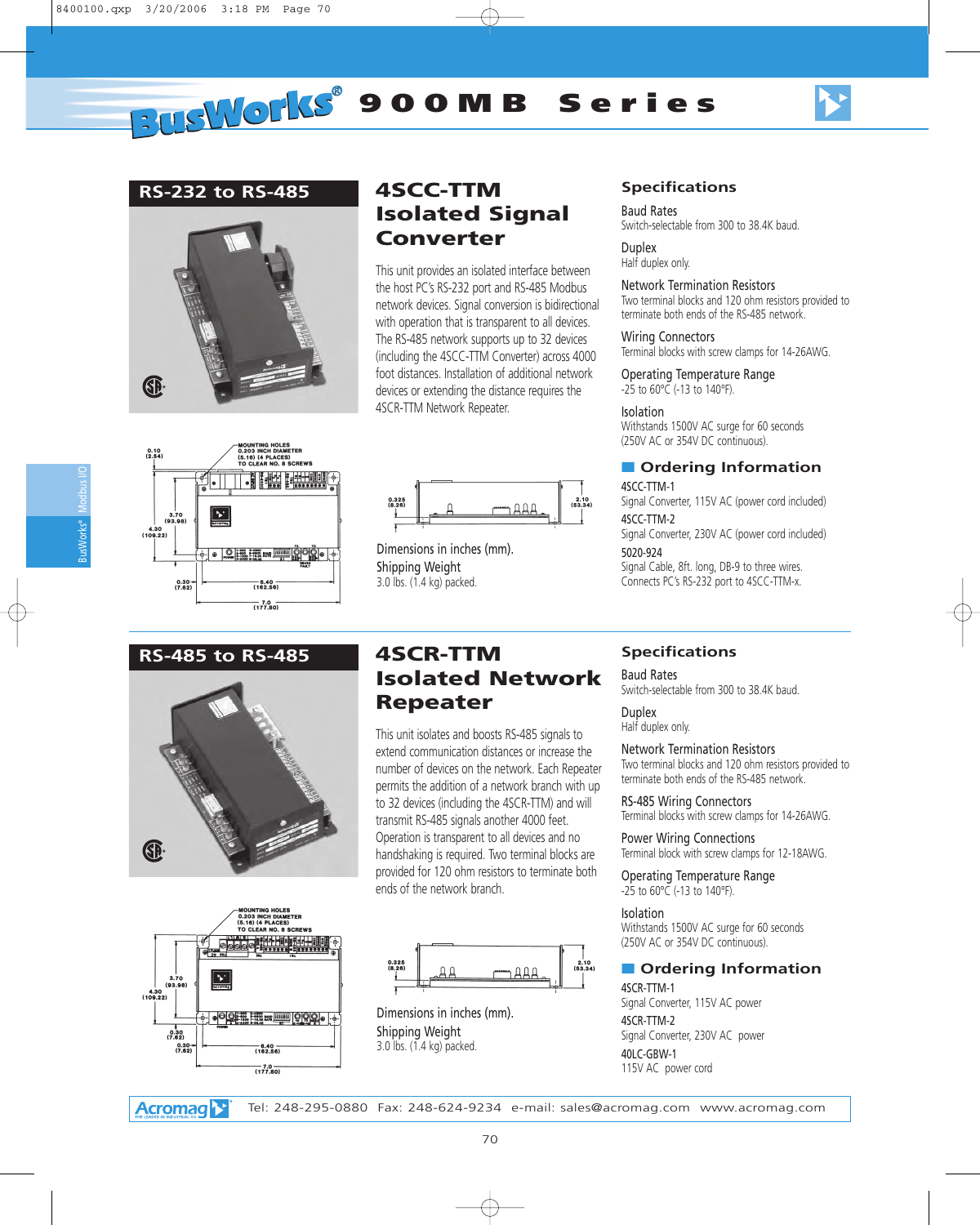# **PUSWOMS** 900MB Series



#### **RS-232 to RS-485**



# **4SCC-TTM Isolated Signal Converter**

This unit provides an isolated interface between the host PC's RS-232 port and RS-485 Modbus network devices. Signal conversion is bidirectional with operation that is transparent to all devices. The RS-485 network supports up to 32 devices (including the 4SCC-TTM Converter) across 4000 foot distances. Installation of additional network devices or extending the distance requires the 4SCR-TTM Network Repeater.





Dimensions in inches (mm). Shipping Weight 3.0 lbs. (1.4 kg) packed.

#### **Specifications**

Baud Rates Switch-selectable from 300 to 38.4K baud.

Duplex Half duplex only.

#### Network Termination Resistors

Two terminal blocks and 120 ohm resistors provided to terminate both ends of the RS-485 network.

Wiring Connectors

Terminal blocks with screw clamps for 14-26AWG.

Operating Temperature Range -25 to 60°C (-13 to 140°F).

Isolation

Withstands 1500V AC surge for 60 seconds (250V AC or 354V DC continuous).

#### ■ **Ordering Information**

4SCC-TTM-1

Signal Converter, 115V AC (power cord included) 4SCC-TTM-2

Signal Converter, 230V AC (power cord included)

5020-924

Signal Cable, 8ft. long, DB-9 to three wires. Connects PC's RS-232 port to 4SCC-TTM-x.

#### **RS-485 to RS-485**





# **4SCR-TTM Isolated Network Repeater**

This unit isolates and boosts RS-485 signals to extend communication distances or increase the number of devices on the network. Each Repeater permits the addition of a network branch with up to 32 devices (including the 4SCR-TTM) and will transmit RS-485 signals another 4000 feet. Operation is transparent to all devices and no handshaking is required. Two terminal blocks are provided for 120 ohm resistors to terminate both ends of the network branch.



Dimensions in inches (mm). Shipping Weight 3.0 lbs. (1.4 kg) packed.

#### **Specifications**

Baud Rates

Switch-selectable from 300 to 38.4K baud.

Duplex

Half duplex only.

#### Network Termination Resistors

Two terminal blocks and 120 ohm resistors provided to terminate both ends of the RS-485 network.

RS-485 Wiring Connectors Terminal blocks with screw clamps for 14-26AWG.

Power Wiring Connections Terminal block with screw clamps for 12-18AWG.

Operating Temperature Range  $-25$  to  $60^{\circ}$ C ( $-13$  to  $140^{\circ}$ F).

Isolation Withstands 1500V AC surge for 60 seconds (250V AC or 354V DC continuous).

#### ■ **Ordering Information**

4SCR-TTM-1 Signal Converter, 115V AC power 4SCR-TTM-2 Signal Converter, 230V AC power 40LC-GBW-1 115V AC power cord